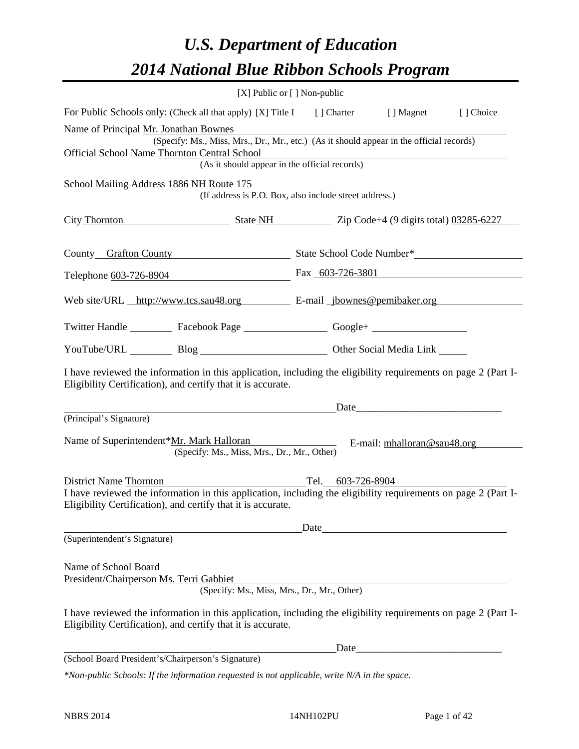# *U.S. Department of Education 2014 National Blue Ribbon Schools Program*

|                                                                                                                                                                                | [X] Public or [] Non-public                                                                                   |                   |                               |           |
|--------------------------------------------------------------------------------------------------------------------------------------------------------------------------------|---------------------------------------------------------------------------------------------------------------|-------------------|-------------------------------|-----------|
| For Public Schools only: (Check all that apply) [X] Title I [] Charter [] Magnet                                                                                               |                                                                                                               |                   |                               | [] Choice |
| Name of Principal Mr. Jonathan Bownes                                                                                                                                          |                                                                                                               |                   |                               |           |
|                                                                                                                                                                                | (Specify: Ms., Miss, Mrs., Dr., Mr., etc.) (As it should appear in the official records)                      |                   |                               |           |
| <b>Official School Name Thornton Central School</b>                                                                                                                            | Central School<br>(As it should appear in the official records)                                               |                   |                               |           |
| School Mailing Address 1886 NH Route 175                                                                                                                                       |                                                                                                               |                   |                               |           |
|                                                                                                                                                                                | (If address is P.O. Box, also include street address.)                                                        |                   |                               |           |
| City Thornton State NH State NH Zip Code+4 (9 digits total) 03285-6227                                                                                                         |                                                                                                               |                   |                               |           |
|                                                                                                                                                                                |                                                                                                               |                   |                               |           |
| County Grafton County State School Code Number*                                                                                                                                |                                                                                                               |                   |                               |           |
| Telephone 603-726-8904 Fax 603-726-3801                                                                                                                                        |                                                                                                               |                   |                               |           |
| Web site/URL http://www.tcs.sau48.org E-mail jbownes@pemibaker.org                                                                                                             |                                                                                                               |                   |                               |           |
| Twitter Handle ___________ Facebook Page ___________________ Google+ ____________                                                                                              |                                                                                                               |                   |                               |           |
|                                                                                                                                                                                |                                                                                                               |                   |                               |           |
| YouTube/URL Blog Blog Cher Social Media Link                                                                                                                                   |                                                                                                               |                   |                               |           |
| I have reviewed the information in this application, including the eligibility requirements on page 2 (Part I-<br>Eligibility Certification), and certify that it is accurate. |                                                                                                               |                   |                               |           |
|                                                                                                                                                                                | Date <u>Date</u> Date <b>Date</b> <u>Date</u> <b>Date Date Date Date Date Date Date Date Date Date Date D</b> |                   |                               |           |
| (Principal's Signature)                                                                                                                                                        |                                                                                                               |                   |                               |           |
| Name of Superintendent*Mr. Mark Halloran                                                                                                                                       | (Specify: Ms., Miss, Mrs., Dr., Mr., Other)                                                                   |                   | E-mail: $mhalloran@sau48.org$ |           |
| District Name Thornton                                                                                                                                                         |                                                                                                               | Tel. 603-726-8904 |                               |           |
| I have reviewed the information in this application, including the eligibility requirements on page 2 (Part I-<br>Eligibility Certification), and certify that it is accurate. |                                                                                                               |                   |                               |           |
|                                                                                                                                                                                |                                                                                                               | Date              |                               |           |
| (Superintendent's Signature)                                                                                                                                                   |                                                                                                               |                   |                               |           |
| Name of School Board                                                                                                                                                           |                                                                                                               |                   |                               |           |
| President/Chairperson Ms. Terri Gabbiet                                                                                                                                        |                                                                                                               |                   |                               |           |
|                                                                                                                                                                                | (Specify: Ms., Miss, Mrs., Dr., Mr., Other)                                                                   |                   |                               |           |
| I have reviewed the information in this application, including the eligibility requirements on page 2 (Part I-<br>Eligibility Certification), and certify that it is accurate. |                                                                                                               |                   |                               |           |
|                                                                                                                                                                                |                                                                                                               | Date              |                               |           |
| (School Board President's/Chairperson's Signature)                                                                                                                             |                                                                                                               |                   |                               |           |
| *Non-public Schools: If the information requested is not applicable, write N/A in the space.                                                                                   |                                                                                                               |                   |                               |           |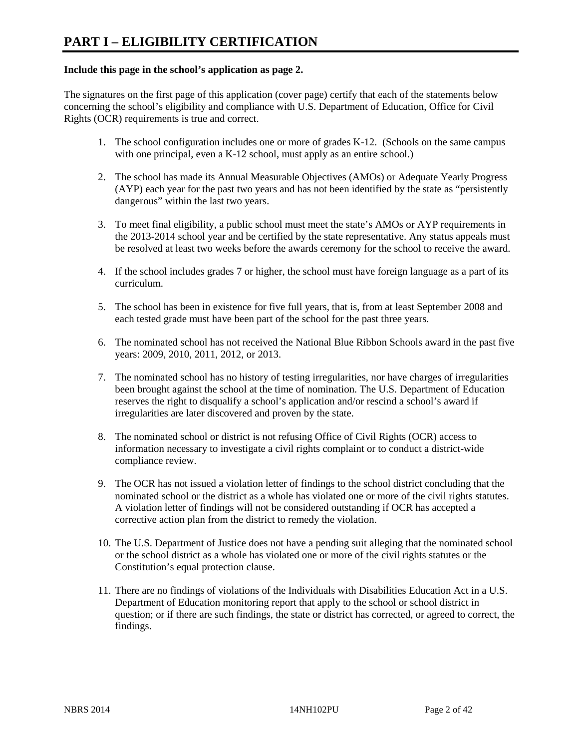#### **Include this page in the school's application as page 2.**

The signatures on the first page of this application (cover page) certify that each of the statements below concerning the school's eligibility and compliance with U.S. Department of Education, Office for Civil Rights (OCR) requirements is true and correct.

- 1. The school configuration includes one or more of grades K-12. (Schools on the same campus with one principal, even a K-12 school, must apply as an entire school.)
- 2. The school has made its Annual Measurable Objectives (AMOs) or Adequate Yearly Progress (AYP) each year for the past two years and has not been identified by the state as "persistently dangerous" within the last two years.
- 3. To meet final eligibility, a public school must meet the state's AMOs or AYP requirements in the 2013-2014 school year and be certified by the state representative. Any status appeals must be resolved at least two weeks before the awards ceremony for the school to receive the award.
- 4. If the school includes grades 7 or higher, the school must have foreign language as a part of its curriculum.
- 5. The school has been in existence for five full years, that is, from at least September 2008 and each tested grade must have been part of the school for the past three years.
- 6. The nominated school has not received the National Blue Ribbon Schools award in the past five years: 2009, 2010, 2011, 2012, or 2013.
- 7. The nominated school has no history of testing irregularities, nor have charges of irregularities been brought against the school at the time of nomination. The U.S. Department of Education reserves the right to disqualify a school's application and/or rescind a school's award if irregularities are later discovered and proven by the state.
- 8. The nominated school or district is not refusing Office of Civil Rights (OCR) access to information necessary to investigate a civil rights complaint or to conduct a district-wide compliance review.
- 9. The OCR has not issued a violation letter of findings to the school district concluding that the nominated school or the district as a whole has violated one or more of the civil rights statutes. A violation letter of findings will not be considered outstanding if OCR has accepted a corrective action plan from the district to remedy the violation.
- 10. The U.S. Department of Justice does not have a pending suit alleging that the nominated school or the school district as a whole has violated one or more of the civil rights statutes or the Constitution's equal protection clause.
- 11. There are no findings of violations of the Individuals with Disabilities Education Act in a U.S. Department of Education monitoring report that apply to the school or school district in question; or if there are such findings, the state or district has corrected, or agreed to correct, the findings.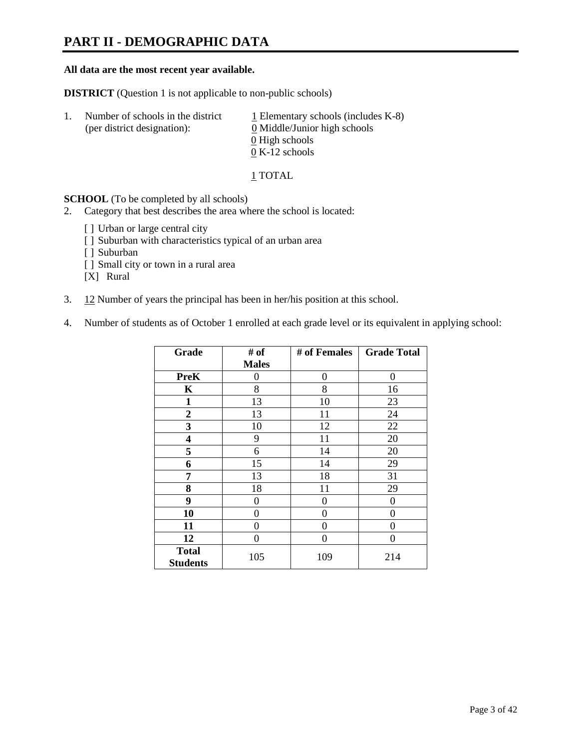### **PART II - DEMOGRAPHIC DATA**

#### **All data are the most recent year available.**

**DISTRICT** (Question 1 is not applicable to non-public schools)

| $\perp$ . | Number of schools in the district<br>(per district designation): | $\perp$ Elementary schools (includes K-8)<br>0 Middle/Junior high schools |
|-----------|------------------------------------------------------------------|---------------------------------------------------------------------------|
|           |                                                                  | 0 High schools<br>$0 K-12$ schools                                        |
|           |                                                                  |                                                                           |

1 TOTAL

**SCHOOL** (To be completed by all schools)

- 2. Category that best describes the area where the school is located:
	- [] Urban or large central city
	- [ ] Suburban with characteristics typical of an urban area
	- [ ] Suburban
	- [ ] Small city or town in a rural area
	- [X] Rural
- 3. 12 Number of years the principal has been in her/his position at this school.
- 4. Number of students as of October 1 enrolled at each grade level or its equivalent in applying school:

| Grade                           | # of         | # of Females   | <b>Grade Total</b> |
|---------------------------------|--------------|----------------|--------------------|
|                                 | <b>Males</b> |                |                    |
| <b>PreK</b>                     | 0            | $\theta$       | $\theta$           |
| K                               | 8            | 8              | 16                 |
| $\mathbf{1}$                    | 13           | 10             | 23                 |
| $\boldsymbol{2}$                | 13           | 11             | 24                 |
| 3                               | 10           | 12             | 22                 |
| 4                               | 9            | 11             | 20                 |
| 5                               | 6            | 14             | 20                 |
| 6                               | 15           | 14             | 29                 |
| 7                               | 13           | 18             | 31                 |
| 8                               | 18           | 11             | 29                 |
| 9                               | 0            | $\overline{0}$ | 0                  |
| 10                              | $\theta$     | 0              | 0                  |
| 11                              | 0            | 0              | $\theta$           |
| 12                              | 0            | 0              | 0                  |
| <b>Total</b><br><b>Students</b> | 105          | 109            | 214                |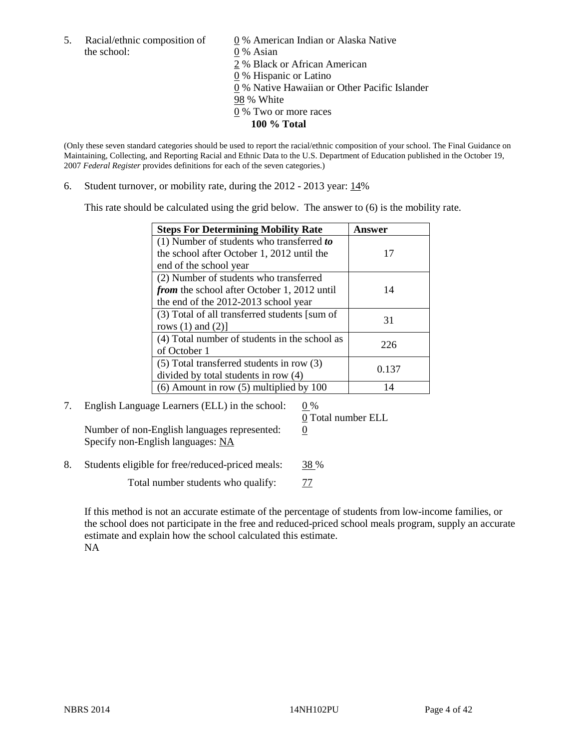the school: 0 % Asian

5. Racial/ethnic composition of  $\qquad \qquad \underline{0}$  % American Indian or Alaska Native 2 % Black or African American 0 % Hispanic or Latino 0 % Native Hawaiian or Other Pacific Islander 98 % White 0 % Two or more races **100 % Total** 

(Only these seven standard categories should be used to report the racial/ethnic composition of your school. The Final Guidance on Maintaining, Collecting, and Reporting Racial and Ethnic Data to the U.S. Department of Education published in the October 19, 2007 *Federal Register* provides definitions for each of the seven categories.)

6. Student turnover, or mobility rate, during the 2012 - 2013 year: 14%

This rate should be calculated using the grid below. The answer to (6) is the mobility rate.

| <b>Steps For Determining Mobility Rate</b>         | <b>Answer</b> |
|----------------------------------------------------|---------------|
| (1) Number of students who transferred to          |               |
| the school after October 1, 2012 until the         | 17            |
| end of the school year                             |               |
| (2) Number of students who transferred             |               |
| <i>from</i> the school after October 1, 2012 until | 14            |
| the end of the 2012-2013 school year               |               |
| (3) Total of all transferred students [sum of      | 31            |
| rows $(1)$ and $(2)$ ]                             |               |
| (4) Total number of students in the school as      | 226           |
| of October 1                                       |               |
| $(5)$ Total transferred students in row $(3)$      | 0.137         |
| divided by total students in row (4)               |               |
| $(6)$ Amount in row $(5)$ multiplied by 100        | 14            |

7. English Language Learners (ELL) in the school:  $0\%$ 

0 Total number ELL

Number of non-English languages represented:  $0$ Specify non-English languages: NA

8. Students eligible for free/reduced-priced meals: 38 %

Total number students who qualify:  $\frac{77}{2}$ 

If this method is not an accurate estimate of the percentage of students from low-income families, or the school does not participate in the free and reduced-priced school meals program, supply an accurate estimate and explain how the school calculated this estimate. NA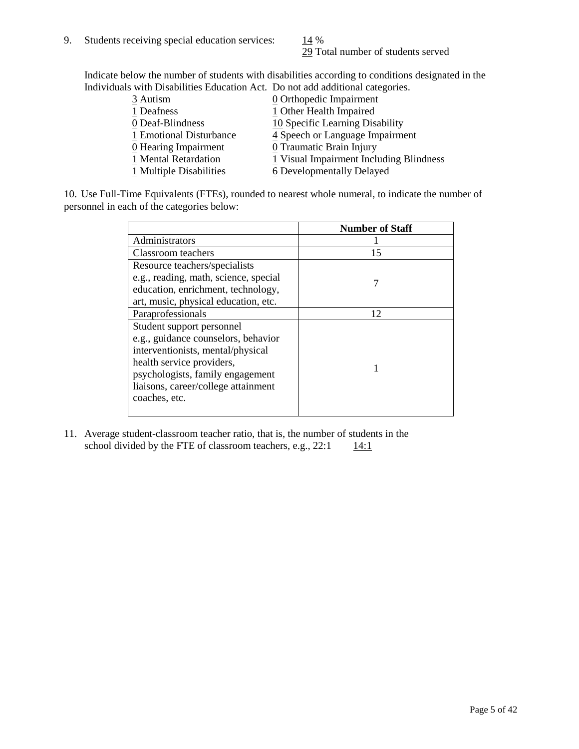29 Total number of students served

Indicate below the number of students with disabilities according to conditions designated in the Individuals with Disabilities Education Act. Do not add additional categories.

| 3 Autism                           | $\underline{0}$ Orthopedic Impairment   |
|------------------------------------|-----------------------------------------|
| 1 Deafness                         | 1 Other Health Impaired                 |
| 0 Deaf-Blindness                   | 10 Specific Learning Disability         |
| 1 Emotional Disturbance            | 4 Speech or Language Impairment         |
| $\underline{0}$ Hearing Impairment | 0 Traumatic Brain Injury                |
| 1 Mental Retardation               | 1 Visual Impairment Including Blindness |
| 1 Multiple Disabilities            | 6 Developmentally Delayed               |
|                                    |                                         |

10. Use Full-Time Equivalents (FTEs), rounded to nearest whole numeral, to indicate the number of personnel in each of the categories below:

|                                       | <b>Number of Staff</b> |
|---------------------------------------|------------------------|
| Administrators                        |                        |
| Classroom teachers                    | 15                     |
| Resource teachers/specialists         |                        |
| e.g., reading, math, science, special |                        |
| education, enrichment, technology,    |                        |
| art, music, physical education, etc.  |                        |
| Paraprofessionals                     | 12                     |
| Student support personnel             |                        |
| e.g., guidance counselors, behavior   |                        |
| interventionists, mental/physical     |                        |
| health service providers,             |                        |
| psychologists, family engagement      |                        |
| liaisons, career/college attainment   |                        |
| coaches, etc.                         |                        |
|                                       |                        |

11. Average student-classroom teacher ratio, that is, the number of students in the school divided by the FTE of classroom teachers, e.g.,  $22:1$  14:1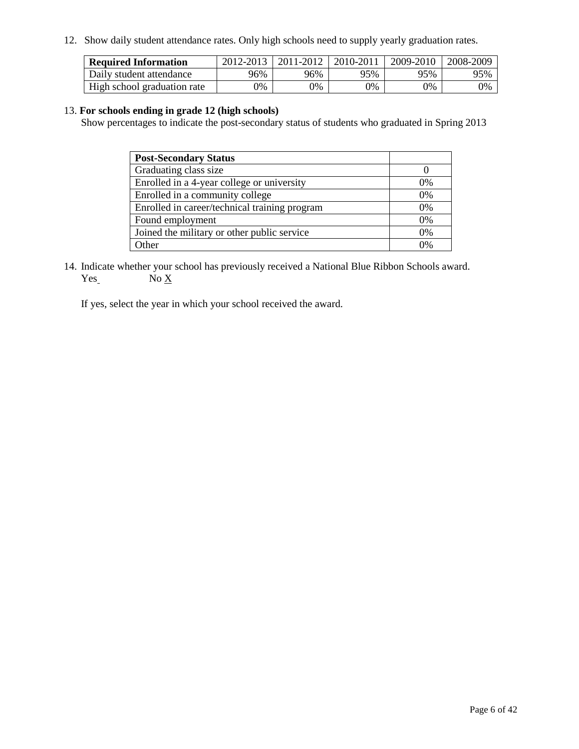12. Show daily student attendance rates. Only high schools need to supply yearly graduation rates.

| <b>Required Information</b> | 2012-2013     | 2011-2012  | 2010-2011 | 2009-2010 | 2008-2009 |
|-----------------------------|---------------|------------|-----------|-----------|-----------|
| Daily student attendance    | 96%           | 96%        | 95%       | 95%       | 95%       |
| High school graduation rate | $\frac{1}{2}$ | $\gamma\%$ | 0%        | 0%        | 0%        |

#### 13. **For schools ending in grade 12 (high schools)**

Show percentages to indicate the post-secondary status of students who graduated in Spring 2013

| <b>Post-Secondary Status</b>                  |            |
|-----------------------------------------------|------------|
| Graduating class size                         |            |
| Enrolled in a 4-year college or university    | $0\%$      |
| Enrolled in a community college               | 0%         |
| Enrolled in career/technical training program | 0%         |
| Found employment                              | 0%         |
| Joined the military or other public service   | 0%         |
| <b>)</b> ther                                 | $\Omega$ % |

14. Indicate whether your school has previously received a National Blue Ribbon Schools award.  $Yes$  No  $X$ 

If yes, select the year in which your school received the award.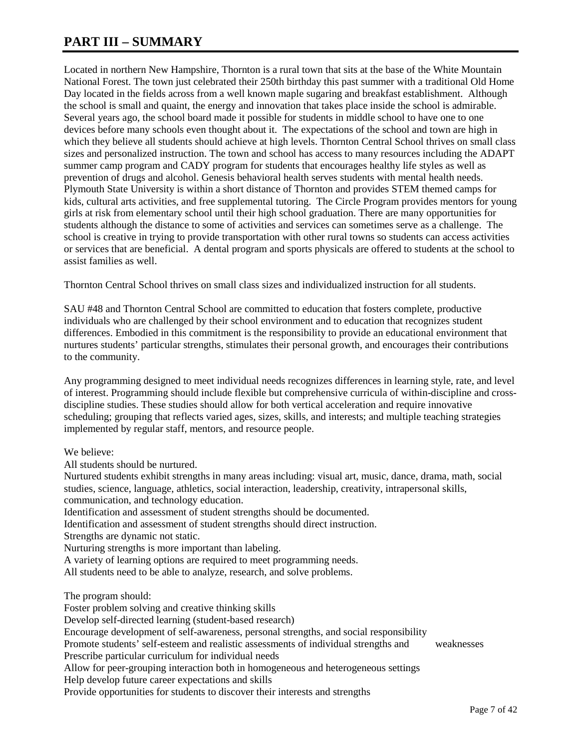### **PART III – SUMMARY**

Located in northern New Hampshire, Thornton is a rural town that sits at the base of the White Mountain National Forest. The town just celebrated their 250th birthday this past summer with a traditional Old Home Day located in the fields across from a well known maple sugaring and breakfast establishment. Although the school is small and quaint, the energy and innovation that takes place inside the school is admirable. Several years ago, the school board made it possible for students in middle school to have one to one devices before many schools even thought about it. The expectations of the school and town are high in which they believe all students should achieve at high levels. Thornton Central School thrives on small class sizes and personalized instruction. The town and school has access to many resources including the ADAPT summer camp program and CADY program for students that encourages healthy life styles as well as prevention of drugs and alcohol. Genesis behavioral health serves students with mental health needs. Plymouth State University is within a short distance of Thornton and provides STEM themed camps for kids, cultural arts activities, and free supplemental tutoring. The Circle Program provides mentors for young girls at risk from elementary school until their high school graduation. There are many opportunities for students although the distance to some of activities and services can sometimes serve as a challenge. The school is creative in trying to provide transportation with other rural towns so students can access activities or services that are beneficial. A dental program and sports physicals are offered to students at the school to assist families as well.

Thornton Central School thrives on small class sizes and individualized instruction for all students.

SAU #48 and Thornton Central School are committed to education that fosters complete, productive individuals who are challenged by their school environment and to education that recognizes student differences. Embodied in this commitment is the responsibility to provide an educational environment that nurtures students' particular strengths, stimulates their personal growth, and encourages their contributions to the community.

Any programming designed to meet individual needs recognizes differences in learning style, rate, and level of interest. Programming should include flexible but comprehensive curricula of within-discipline and crossdiscipline studies. These studies should allow for both vertical acceleration and require innovative scheduling; grouping that reflects varied ages, sizes, skills, and interests; and multiple teaching strategies implemented by regular staff, mentors, and resource people.

We believe:

All students should be nurtured.

Nurtured students exhibit strengths in many areas including: visual art, music, dance, drama, math, social studies, science, language, athletics, social interaction, leadership, creativity, intrapersonal skills, communication, and technology education.

Identification and assessment of student strengths should be documented.

Identification and assessment of student strengths should direct instruction.

Strengths are dynamic not static.

Nurturing strengths is more important than labeling.

A variety of learning options are required to meet programming needs.

All students need to be able to analyze, research, and solve problems.

The program should:

Foster problem solving and creative thinking skills Develop self-directed learning (student-based research) Encourage development of self-awareness, personal strengths, and social responsibility Promote students' self-esteem and realistic assessments of individual strengths and weaknesses Prescribe particular curriculum for individual needs Allow for peer-grouping interaction both in homogeneous and heterogeneous settings Help develop future career expectations and skills Provide opportunities for students to discover their interests and strengths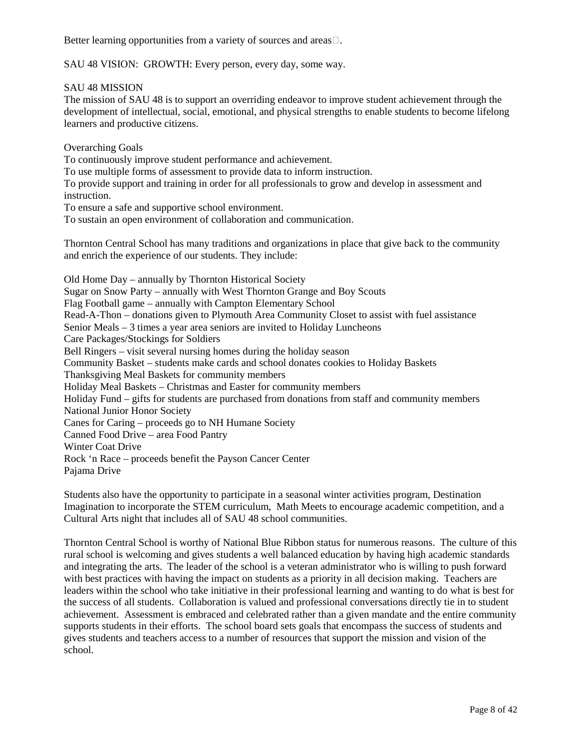Better learning opportunities from a variety of sources and areas.

SAU 48 VISION: GROWTH: Every person, every day, some way.

SAU 48 MISSION

The mission of SAU 48 is to support an overriding endeavor to improve student achievement through the development of intellectual, social, emotional, and physical strengths to enable students to become lifelong learners and productive citizens.

Overarching Goals

To continuously improve student performance and achievement.

To use multiple forms of assessment to provide data to inform instruction.

To provide support and training in order for all professionals to grow and develop in assessment and instruction.

To ensure a safe and supportive school environment.

To sustain an open environment of collaboration and communication.

Thornton Central School has many traditions and organizations in place that give back to the community and enrich the experience of our students. They include:

Old Home Day – annually by Thornton Historical Society Sugar on Snow Party – annually with West Thornton Grange and Boy Scouts Flag Football game – annually with Campton Elementary School Read-A-Thon – donations given to Plymouth Area Community Closet to assist with fuel assistance Senior Meals – 3 times a year area seniors are invited to Holiday Luncheons Care Packages/Stockings for Soldiers Bell Ringers – visit several nursing homes during the holiday season Community Basket – students make cards and school donates cookies to Holiday Baskets Thanksgiving Meal Baskets for community members Holiday Meal Baskets – Christmas and Easter for community members Holiday Fund – gifts for students are purchased from donations from staff and community members National Junior Honor Society Canes for Caring – proceeds go to NH Humane Society Canned Food Drive – area Food Pantry Winter Coat Drive Rock 'n Race – proceeds benefit the Payson Cancer Center Pajama Drive

Students also have the opportunity to participate in a seasonal winter activities program, Destination Imagination to incorporate the STEM curriculum, Math Meets to encourage academic competition, and a Cultural Arts night that includes all of SAU 48 school communities.

Thornton Central School is worthy of National Blue Ribbon status for numerous reasons. The culture of this rural school is welcoming and gives students a well balanced education by having high academic standards and integrating the arts. The leader of the school is a veteran administrator who is willing to push forward with best practices with having the impact on students as a priority in all decision making. Teachers are leaders within the school who take initiative in their professional learning and wanting to do what is best for the success of all students. Collaboration is valued and professional conversations directly tie in to student achievement. Assessment is embraced and celebrated rather than a given mandate and the entire community supports students in their efforts. The school board sets goals that encompass the success of students and gives students and teachers access to a number of resources that support the mission and vision of the school.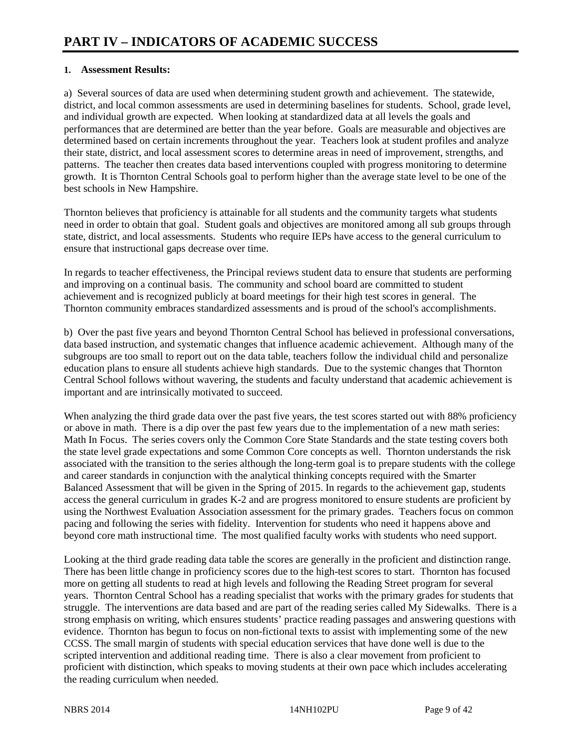#### **1. Assessment Results:**

a) Several sources of data are used when determining student growth and achievement. The statewide, district, and local common assessments are used in determining baselines for students. School, grade level, and individual growth are expected. When looking at standardized data at all levels the goals and performances that are determined are better than the year before. Goals are measurable and objectives are determined based on certain increments throughout the year. Teachers look at student profiles and analyze their state, district, and local assessment scores to determine areas in need of improvement, strengths, and patterns. The teacher then creates data based interventions coupled with progress monitoring to determine growth. It is Thornton Central Schools goal to perform higher than the average state level to be one of the best schools in New Hampshire.

Thornton believes that proficiency is attainable for all students and the community targets what students need in order to obtain that goal. Student goals and objectives are monitored among all sub groups through state, district, and local assessments. Students who require IEPs have access to the general curriculum to ensure that instructional gaps decrease over time.

In regards to teacher effectiveness, the Principal reviews student data to ensure that students are performing and improving on a continual basis. The community and school board are committed to student achievement and is recognized publicly at board meetings for their high test scores in general. The Thornton community embraces standardized assessments and is proud of the school's accomplishments.

b) Over the past five years and beyond Thornton Central School has believed in professional conversations, data based instruction, and systematic changes that influence academic achievement. Although many of the subgroups are too small to report out on the data table, teachers follow the individual child and personalize education plans to ensure all students achieve high standards. Due to the systemic changes that Thornton Central School follows without wavering, the students and faculty understand that academic achievement is important and are intrinsically motivated to succeed.

When analyzing the third grade data over the past five years, the test scores started out with 88% proficiency or above in math. There is a dip over the past few years due to the implementation of a new math series: Math In Focus. The series covers only the Common Core State Standards and the state testing covers both the state level grade expectations and some Common Core concepts as well. Thornton understands the risk associated with the transition to the series although the long-term goal is to prepare students with the college and career standards in conjunction with the analytical thinking concepts required with the Smarter Balanced Assessment that will be given in the Spring of 2015. In regards to the achievement gap, students access the general curriculum in grades K-2 and are progress monitored to ensure students are proficient by using the Northwest Evaluation Association assessment for the primary grades. Teachers focus on common pacing and following the series with fidelity. Intervention for students who need it happens above and beyond core math instructional time. The most qualified faculty works with students who need support.

Looking at the third grade reading data table the scores are generally in the proficient and distinction range. There has been little change in proficiency scores due to the high-test scores to start. Thornton has focused more on getting all students to read at high levels and following the Reading Street program for several years. Thornton Central School has a reading specialist that works with the primary grades for students that struggle. The interventions are data based and are part of the reading series called My Sidewalks. There is a strong emphasis on writing, which ensures students' practice reading passages and answering questions with evidence. Thornton has begun to focus on non-fictional texts to assist with implementing some of the new CCSS. The small margin of students with special education services that have done well is due to the scripted intervention and additional reading time. There is also a clear movement from proficient to proficient with distinction, which speaks to moving students at their own pace which includes accelerating the reading curriculum when needed.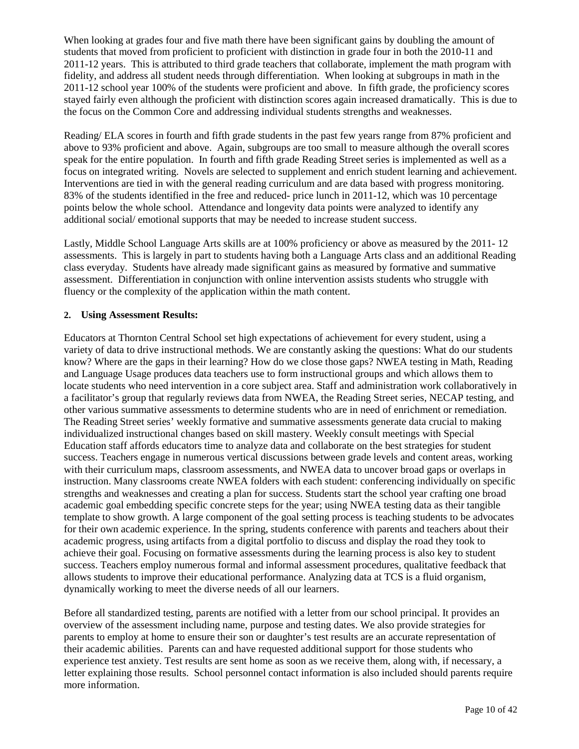When looking at grades four and five math there have been significant gains by doubling the amount of students that moved from proficient to proficient with distinction in grade four in both the 2010-11 and 2011-12 years. This is attributed to third grade teachers that collaborate, implement the math program with fidelity, and address all student needs through differentiation. When looking at subgroups in math in the 2011-12 school year 100% of the students were proficient and above. In fifth grade, the proficiency scores stayed fairly even although the proficient with distinction scores again increased dramatically. This is due to the focus on the Common Core and addressing individual students strengths and weaknesses.

Reading/ ELA scores in fourth and fifth grade students in the past few years range from 87% proficient and above to 93% proficient and above. Again, subgroups are too small to measure although the overall scores speak for the entire population. In fourth and fifth grade Reading Street series is implemented as well as a focus on integrated writing. Novels are selected to supplement and enrich student learning and achievement. Interventions are tied in with the general reading curriculum and are data based with progress monitoring. 83% of the students identified in the free and reduced- price lunch in 2011-12, which was 10 percentage points below the whole school. Attendance and longevity data points were analyzed to identify any additional social/ emotional supports that may be needed to increase student success.

Lastly, Middle School Language Arts skills are at 100% proficiency or above as measured by the 2011- 12 assessments. This is largely in part to students having both a Language Arts class and an additional Reading class everyday. Students have already made significant gains as measured by formative and summative assessment. Differentiation in conjunction with online intervention assists students who struggle with fluency or the complexity of the application within the math content.

#### **2. Using Assessment Results:**

Educators at Thornton Central School set high expectations of achievement for every student, using a variety of data to drive instructional methods. We are constantly asking the questions: What do our students know? Where are the gaps in their learning? How do we close those gaps? NWEA testing in Math, Reading and Language Usage produces data teachers use to form instructional groups and which allows them to locate students who need intervention in a core subject area. Staff and administration work collaboratively in a facilitator's group that regularly reviews data from NWEA, the Reading Street series, NECAP testing, and other various summative assessments to determine students who are in need of enrichment or remediation. The Reading Street series' weekly formative and summative assessments generate data crucial to making individualized instructional changes based on skill mastery. Weekly consult meetings with Special Education staff affords educators time to analyze data and collaborate on the best strategies for student success. Teachers engage in numerous vertical discussions between grade levels and content areas, working with their curriculum maps, classroom assessments, and NWEA data to uncover broad gaps or overlaps in instruction. Many classrooms create NWEA folders with each student: conferencing individually on specific strengths and weaknesses and creating a plan for success. Students start the school year crafting one broad academic goal embedding specific concrete steps for the year; using NWEA testing data as their tangible template to show growth. A large component of the goal setting process is teaching students to be advocates for their own academic experience. In the spring, students conference with parents and teachers about their academic progress, using artifacts from a digital portfolio to discuss and display the road they took to achieve their goal. Focusing on formative assessments during the learning process is also key to student success. Teachers employ numerous formal and informal assessment procedures, qualitative feedback that allows students to improve their educational performance. Analyzing data at TCS is a fluid organism, dynamically working to meet the diverse needs of all our learners.

Before all standardized testing, parents are notified with a letter from our school principal. It provides an overview of the assessment including name, purpose and testing dates. We also provide strategies for parents to employ at home to ensure their son or daughter's test results are an accurate representation of their academic abilities. Parents can and have requested additional support for those students who experience test anxiety. Test results are sent home as soon as we receive them, along with, if necessary, a letter explaining those results. School personnel contact information is also included should parents require more information.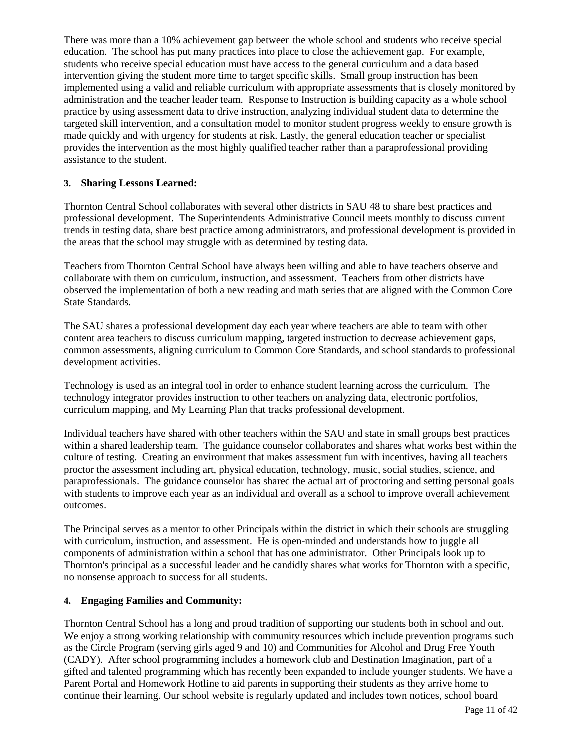There was more than a 10% achievement gap between the whole school and students who receive special education. The school has put many practices into place to close the achievement gap. For example, students who receive special education must have access to the general curriculum and a data based intervention giving the student more time to target specific skills. Small group instruction has been implemented using a valid and reliable curriculum with appropriate assessments that is closely monitored by administration and the teacher leader team. Response to Instruction is building capacity as a whole school practice by using assessment data to drive instruction, analyzing individual student data to determine the targeted skill intervention, and a consultation model to monitor student progress weekly to ensure growth is made quickly and with urgency for students at risk. Lastly, the general education teacher or specialist provides the intervention as the most highly qualified teacher rather than a paraprofessional providing assistance to the student.

#### **3. Sharing Lessons Learned:**

Thornton Central School collaborates with several other districts in SAU 48 to share best practices and professional development. The Superintendents Administrative Council meets monthly to discuss current trends in testing data, share best practice among administrators, and professional development is provided in the areas that the school may struggle with as determined by testing data.

Teachers from Thornton Central School have always been willing and able to have teachers observe and collaborate with them on curriculum, instruction, and assessment. Teachers from other districts have observed the implementation of both a new reading and math series that are aligned with the Common Core State Standards.

The SAU shares a professional development day each year where teachers are able to team with other content area teachers to discuss curriculum mapping, targeted instruction to decrease achievement gaps, common assessments, aligning curriculum to Common Core Standards, and school standards to professional development activities.

Technology is used as an integral tool in order to enhance student learning across the curriculum. The technology integrator provides instruction to other teachers on analyzing data, electronic portfolios, curriculum mapping, and My Learning Plan that tracks professional development.

Individual teachers have shared with other teachers within the SAU and state in small groups best practices within a shared leadership team. The guidance counselor collaborates and shares what works best within the culture of testing. Creating an environment that makes assessment fun with incentives, having all teachers proctor the assessment including art, physical education, technology, music, social studies, science, and paraprofessionals. The guidance counselor has shared the actual art of proctoring and setting personal goals with students to improve each year as an individual and overall as a school to improve overall achievement outcomes.

The Principal serves as a mentor to other Principals within the district in which their schools are struggling with curriculum, instruction, and assessment. He is open-minded and understands how to juggle all components of administration within a school that has one administrator. Other Principals look up to Thornton's principal as a successful leader and he candidly shares what works for Thornton with a specific, no nonsense approach to success for all students.

#### **4. Engaging Families and Community:**

Thornton Central School has a long and proud tradition of supporting our students both in school and out. We enjoy a strong working relationship with community resources which include prevention programs such as the Circle Program (serving girls aged 9 and 10) and Communities for Alcohol and Drug Free Youth (CADY). After school programming includes a homework club and Destination Imagination, part of a gifted and talented programming which has recently been expanded to include younger students. We have a Parent Portal and Homework Hotline to aid parents in supporting their students as they arrive home to continue their learning. Our school website is regularly updated and includes town notices, school board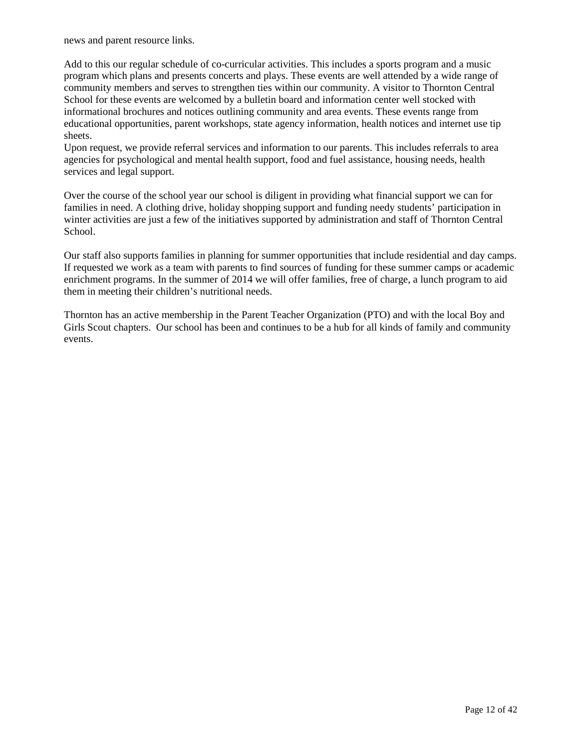news and parent resource links.

Add to this our regular schedule of co-curricular activities. This includes a sports program and a music program which plans and presents concerts and plays. These events are well attended by a wide range of community members and serves to strengthen ties within our community. A visitor to Thornton Central School for these events are welcomed by a bulletin board and information center well stocked with informational brochures and notices outlining community and area events. These events range from educational opportunities, parent workshops, state agency information, health notices and internet use tip sheets.

Upon request, we provide referral services and information to our parents. This includes referrals to area agencies for psychological and mental health support, food and fuel assistance, housing needs, health services and legal support.

Over the course of the school year our school is diligent in providing what financial support we can for families in need. A clothing drive, holiday shopping support and funding needy students' participation in winter activities are just a few of the initiatives supported by administration and staff of Thornton Central School.

Our staff also supports families in planning for summer opportunities that include residential and day camps. If requested we work as a team with parents to find sources of funding for these summer camps or academic enrichment programs. In the summer of 2014 we will offer families, free of charge, a lunch program to aid them in meeting their children's nutritional needs.

Thornton has an active membership in the Parent Teacher Organization (PTO) and with the local Boy and Girls Scout chapters. Our school has been and continues to be a hub for all kinds of family and community events.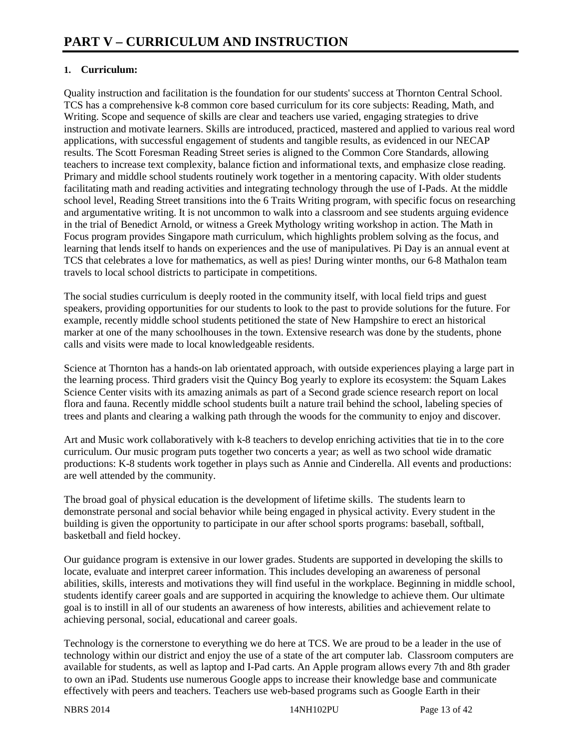#### **1. Curriculum:**

Quality instruction and facilitation is the foundation for our students' success at Thornton Central School. TCS has a comprehensive k-8 common core based curriculum for its core subjects: Reading, Math, and Writing. Scope and sequence of skills are clear and teachers use varied, engaging strategies to drive instruction and motivate learners. Skills are introduced, practiced, mastered and applied to various real word applications, with successful engagement of students and tangible results, as evidenced in our NECAP results. The Scott Foresman Reading Street series is aligned to the Common Core Standards, allowing teachers to increase text complexity, balance fiction and informational texts, and emphasize close reading. Primary and middle school students routinely work together in a mentoring capacity. With older students facilitating math and reading activities and integrating technology through the use of I-Pads. At the middle school level, Reading Street transitions into the 6 Traits Writing program, with specific focus on researching and argumentative writing. It is not uncommon to walk into a classroom and see students arguing evidence in the trial of Benedict Arnold, or witness a Greek Mythology writing workshop in action. The Math in Focus program provides Singapore math curriculum, which highlights problem solving as the focus, and learning that lends itself to hands on experiences and the use of manipulatives. Pi Day is an annual event at TCS that celebrates a love for mathematics, as well as pies! During winter months, our 6-8 Mathalon team travels to local school districts to participate in competitions.

The social studies curriculum is deeply rooted in the community itself, with local field trips and guest speakers, providing opportunities for our students to look to the past to provide solutions for the future. For example, recently middle school students petitioned the state of New Hampshire to erect an historical marker at one of the many schoolhouses in the town. Extensive research was done by the students, phone calls and visits were made to local knowledgeable residents.

Science at Thornton has a hands-on lab orientated approach, with outside experiences playing a large part in the learning process. Third graders visit the Quincy Bog yearly to explore its ecosystem: the Squam Lakes Science Center visits with its amazing animals as part of a Second grade science research report on local flora and fauna. Recently middle school students built a nature trail behind the school, labeling species of trees and plants and clearing a walking path through the woods for the community to enjoy and discover.

Art and Music work collaboratively with k-8 teachers to develop enriching activities that tie in to the core curriculum. Our music program puts together two concerts a year; as well as two school wide dramatic productions: K-8 students work together in plays such as Annie and Cinderella. All events and productions: are well attended by the community.

The broad goal of physical education is the development of lifetime skills. The students learn to demonstrate personal and social behavior while being engaged in physical activity. Every student in the building is given the opportunity to participate in our after school sports programs: baseball, softball, basketball and field hockey.

Our guidance program is extensive in our lower grades. Students are supported in developing the skills to locate, evaluate and interpret career information. This includes developing an awareness of personal abilities, skills, interests and motivations they will find useful in the workplace. Beginning in middle school, students identify career goals and are supported in acquiring the knowledge to achieve them. Our ultimate goal is to instill in all of our students an awareness of how interests, abilities and achievement relate to achieving personal, social, educational and career goals.

Technology is the cornerstone to everything we do here at TCS. We are proud to be a leader in the use of technology within our district and enjoy the use of a state of the art computer lab. Classroom computers are available for students, as well as laptop and I-Pad carts. An Apple program allows every 7th and 8th grader to own an iPad. Students use numerous Google apps to increase their knowledge base and communicate effectively with peers and teachers. Teachers use web-based programs such as Google Earth in their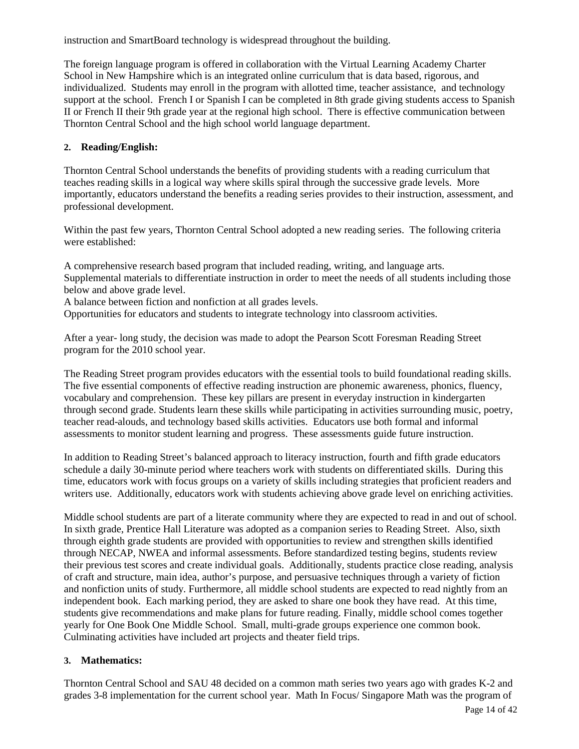instruction and SmartBoard technology is widespread throughout the building.

The foreign language program is offered in collaboration with the Virtual Learning Academy Charter School in New Hampshire which is an integrated online curriculum that is data based, rigorous, and individualized. Students may enroll in the program with allotted time, teacher assistance, and technology support at the school. French I or Spanish I can be completed in 8th grade giving students access to Spanish II or French II their 9th grade year at the regional high school. There is effective communication between Thornton Central School and the high school world language department.

#### **2. Reading/English:**

Thornton Central School understands the benefits of providing students with a reading curriculum that teaches reading skills in a logical way where skills spiral through the successive grade levels. More importantly, educators understand the benefits a reading series provides to their instruction, assessment, and professional development.

Within the past few years, Thornton Central School adopted a new reading series. The following criteria were established:

A comprehensive research based program that included reading, writing, and language arts. Supplemental materials to differentiate instruction in order to meet the needs of all students including those below and above grade level.

A balance between fiction and nonfiction at all grades levels.

Opportunities for educators and students to integrate technology into classroom activities.

After a year- long study, the decision was made to adopt the Pearson Scott Foresman Reading Street program for the 2010 school year.

The Reading Street program provides educators with the essential tools to build foundational reading skills. The five essential components of effective reading instruction are phonemic awareness, phonics, fluency, vocabulary and comprehension. These key pillars are present in everyday instruction in kindergarten through second grade. Students learn these skills while participating in activities surrounding music, poetry, teacher read-alouds, and technology based skills activities. Educators use both formal and informal assessments to monitor student learning and progress. These assessments guide future instruction.

In addition to Reading Street's balanced approach to literacy instruction, fourth and fifth grade educators schedule a daily 30-minute period where teachers work with students on differentiated skills. During this time, educators work with focus groups on a variety of skills including strategies that proficient readers and writers use. Additionally, educators work with students achieving above grade level on enriching activities.

Middle school students are part of a literate community where they are expected to read in and out of school. In sixth grade, Prentice Hall Literature was adopted as a companion series to Reading Street. Also, sixth through eighth grade students are provided with opportunities to review and strengthen skills identified through NECAP, NWEA and informal assessments. Before standardized testing begins, students review their previous test scores and create individual goals. Additionally, students practice close reading, analysis of craft and structure, main idea, author's purpose, and persuasive techniques through a variety of fiction and nonfiction units of study. Furthermore, all middle school students are expected to read nightly from an independent book. Each marking period, they are asked to share one book they have read. At this time, students give recommendations and make plans for future reading. Finally, middle school comes together yearly for One Book One Middle School. Small, multi-grade groups experience one common book. Culminating activities have included art projects and theater field trips.

#### **3. Mathematics:**

Thornton Central School and SAU 48 decided on a common math series two years ago with grades K-2 and grades 3-8 implementation for the current school year. Math In Focus/ Singapore Math was the program of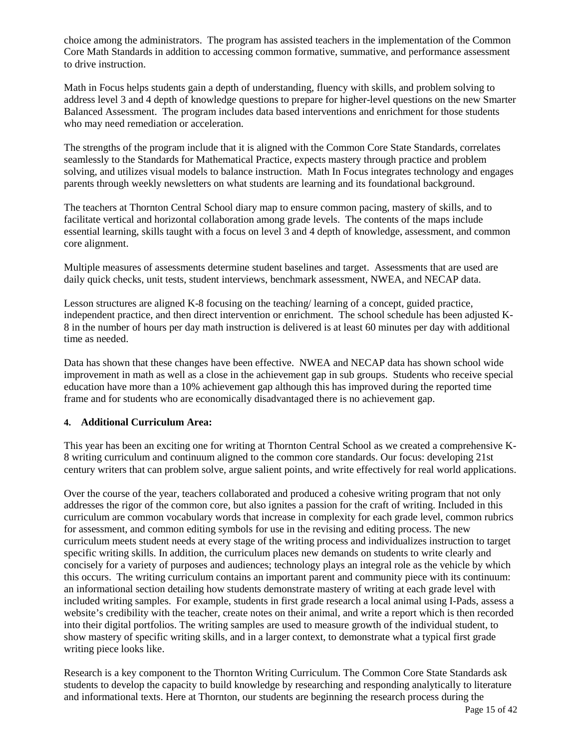choice among the administrators. The program has assisted teachers in the implementation of the Common Core Math Standards in addition to accessing common formative, summative, and performance assessment to drive instruction.

Math in Focus helps students gain a depth of understanding, fluency with skills, and problem solving to address level 3 and 4 depth of knowledge questions to prepare for higher-level questions on the new Smarter Balanced Assessment. The program includes data based interventions and enrichment for those students who may need remediation or acceleration.

The strengths of the program include that it is aligned with the Common Core State Standards, correlates seamlessly to the Standards for Mathematical Practice, expects mastery through practice and problem solving, and utilizes visual models to balance instruction. Math In Focus integrates technology and engages parents through weekly newsletters on what students are learning and its foundational background.

The teachers at Thornton Central School diary map to ensure common pacing, mastery of skills, and to facilitate vertical and horizontal collaboration among grade levels. The contents of the maps include essential learning, skills taught with a focus on level 3 and 4 depth of knowledge, assessment, and common core alignment.

Multiple measures of assessments determine student baselines and target. Assessments that are used are daily quick checks, unit tests, student interviews, benchmark assessment, NWEA, and NECAP data.

Lesson structures are aligned K-8 focusing on the teaching/ learning of a concept, guided practice, independent practice, and then direct intervention or enrichment. The school schedule has been adjusted K-8 in the number of hours per day math instruction is delivered is at least 60 minutes per day with additional time as needed.

Data has shown that these changes have been effective. NWEA and NECAP data has shown school wide improvement in math as well as a close in the achievement gap in sub groups. Students who receive special education have more than a 10% achievement gap although this has improved during the reported time frame and for students who are economically disadvantaged there is no achievement gap.

#### **4. Additional Curriculum Area:**

This year has been an exciting one for writing at Thornton Central School as we created a comprehensive K-8 writing curriculum and continuum aligned to the common core standards. Our focus: developing 21st century writers that can problem solve, argue salient points, and write effectively for real world applications.

Over the course of the year, teachers collaborated and produced a cohesive writing program that not only addresses the rigor of the common core, but also ignites a passion for the craft of writing. Included in this curriculum are common vocabulary words that increase in complexity for each grade level, common rubrics for assessment, and common editing symbols for use in the revising and editing process. The new curriculum meets student needs at every stage of the writing process and individualizes instruction to target specific writing skills. In addition, the curriculum places new demands on students to write clearly and concisely for a variety of purposes and audiences; technology plays an integral role as the vehicle by which this occurs. The writing curriculum contains an important parent and community piece with its continuum: an informational section detailing how students demonstrate mastery of writing at each grade level with included writing samples. For example, students in first grade research a local animal using I-Pads, assess a website's credibility with the teacher, create notes on their animal, and write a report which is then recorded into their digital portfolios. The writing samples are used to measure growth of the individual student, to show mastery of specific writing skills, and in a larger context, to demonstrate what a typical first grade writing piece looks like.

Research is a key component to the Thornton Writing Curriculum. The Common Core State Standards ask students to develop the capacity to build knowledge by researching and responding analytically to literature and informational texts. Here at Thornton, our students are beginning the research process during the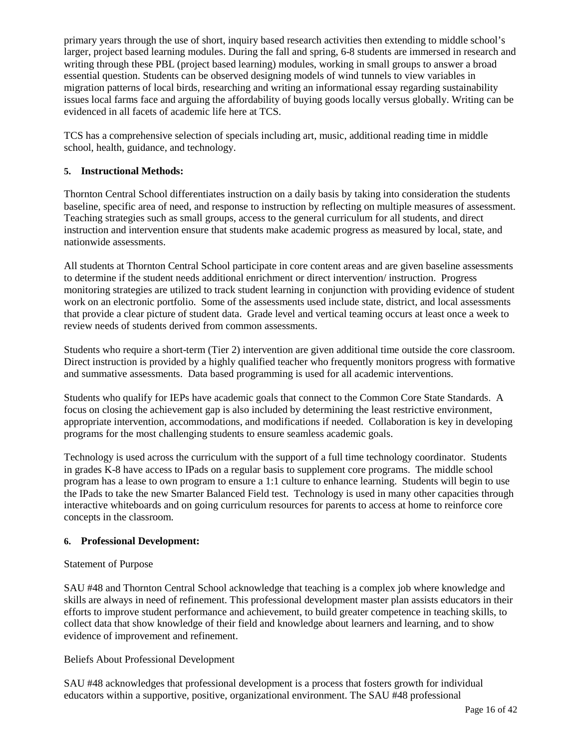primary years through the use of short, inquiry based research activities then extending to middle school's larger, project based learning modules. During the fall and spring, 6-8 students are immersed in research and writing through these PBL (project based learning) modules, working in small groups to answer a broad essential question. Students can be observed designing models of wind tunnels to view variables in migration patterns of local birds, researching and writing an informational essay regarding sustainability issues local farms face and arguing the affordability of buying goods locally versus globally. Writing can be evidenced in all facets of academic life here at TCS.

TCS has a comprehensive selection of specials including art, music, additional reading time in middle school, health, guidance, and technology.

#### **5. Instructional Methods:**

Thornton Central School differentiates instruction on a daily basis by taking into consideration the students baseline, specific area of need, and response to instruction by reflecting on multiple measures of assessment. Teaching strategies such as small groups, access to the general curriculum for all students, and direct instruction and intervention ensure that students make academic progress as measured by local, state, and nationwide assessments.

All students at Thornton Central School participate in core content areas and are given baseline assessments to determine if the student needs additional enrichment or direct intervention/ instruction. Progress monitoring strategies are utilized to track student learning in conjunction with providing evidence of student work on an electronic portfolio. Some of the assessments used include state, district, and local assessments that provide a clear picture of student data. Grade level and vertical teaming occurs at least once a week to review needs of students derived from common assessments.

Students who require a short-term (Tier 2) intervention are given additional time outside the core classroom. Direct instruction is provided by a highly qualified teacher who frequently monitors progress with formative and summative assessments. Data based programming is used for all academic interventions.

Students who qualify for IEPs have academic goals that connect to the Common Core State Standards. A focus on closing the achievement gap is also included by determining the least restrictive environment, appropriate intervention, accommodations, and modifications if needed. Collaboration is key in developing programs for the most challenging students to ensure seamless academic goals.

Technology is used across the curriculum with the support of a full time technology coordinator. Students in grades K-8 have access to IPads on a regular basis to supplement core programs. The middle school program has a lease to own program to ensure a 1:1 culture to enhance learning. Students will begin to use the IPads to take the new Smarter Balanced Field test. Technology is used in many other capacities through interactive whiteboards and on going curriculum resources for parents to access at home to reinforce core concepts in the classroom.

#### **6. Professional Development:**

#### Statement of Purpose

SAU #48 and Thornton Central School acknowledge that teaching is a complex job where knowledge and skills are always in need of refinement. This professional development master plan assists educators in their efforts to improve student performance and achievement, to build greater competence in teaching skills, to collect data that show knowledge of their field and knowledge about learners and learning, and to show evidence of improvement and refinement.

#### Beliefs About Professional Development

SAU #48 acknowledges that professional development is a process that fosters growth for individual educators within a supportive, positive, organizational environment. The SAU #48 professional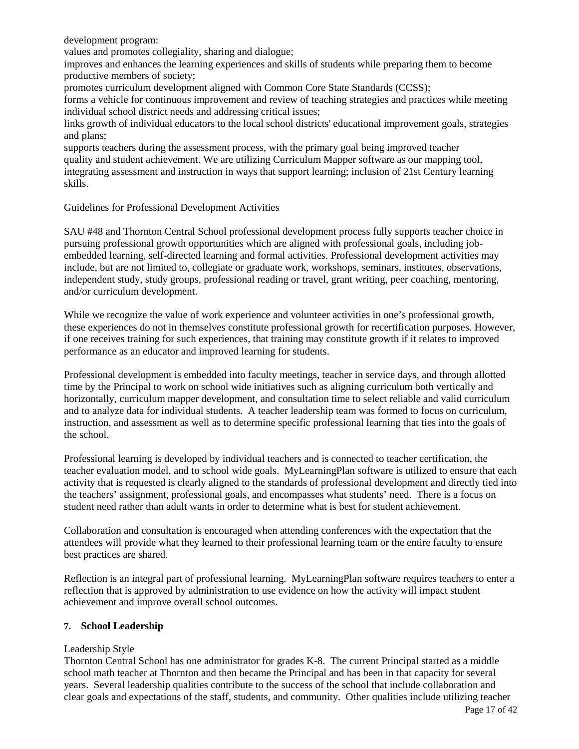development program:

values and promotes collegiality, sharing and dialogue;

improves and enhances the learning experiences and skills of students while preparing them to become productive members of society;

promotes curriculum development aligned with Common Core State Standards (CCSS);

forms a vehicle for continuous improvement and review of teaching strategies and practices while meeting individual school district needs and addressing critical issues;

links growth of individual educators to the local school districts' educational improvement goals, strategies and plans;

supports teachers during the assessment process, with the primary goal being improved teacher quality and student achievement. We are utilizing Curriculum Mapper software as our mapping tool, integrating assessment and instruction in ways that support learning; inclusion of 21st Century learning skills.

#### Guidelines for Professional Development Activities

SAU #48 and Thornton Central School professional development process fully supports teacher choice in pursuing professional growth opportunities which are aligned with professional goals, including jobembedded learning, self-directed learning and formal activities. Professional development activities may include, but are not limited to, collegiate or graduate work, workshops, seminars, institutes, observations, independent study, study groups, professional reading or travel, grant writing, peer coaching, mentoring, and/or curriculum development.

While we recognize the value of work experience and volunteer activities in one's professional growth, these experiences do not in themselves constitute professional growth for recertification purposes. However, if one receives training for such experiences, that training may constitute growth if it relates to improved performance as an educator and improved learning for students.

Professional development is embedded into faculty meetings, teacher in service days, and through allotted time by the Principal to work on school wide initiatives such as aligning curriculum both vertically and horizontally, curriculum mapper development, and consultation time to select reliable and valid curriculum and to analyze data for individual students. A teacher leadership team was formed to focus on curriculum, instruction, and assessment as well as to determine specific professional learning that ties into the goals of the school.

Professional learning is developed by individual teachers and is connected to teacher certification, the teacher evaluation model, and to school wide goals. MyLearningPlan software is utilized to ensure that each activity that is requested is clearly aligned to the standards of professional development and directly tied into the teachers' assignment, professional goals, and encompasses what students' need. There is a focus on student need rather than adult wants in order to determine what is best for student achievement.

Collaboration and consultation is encouraged when attending conferences with the expectation that the attendees will provide what they learned to their professional learning team or the entire faculty to ensure best practices are shared.

Reflection is an integral part of professional learning. MyLearningPlan software requires teachers to enter a reflection that is approved by administration to use evidence on how the activity will impact student achievement and improve overall school outcomes.

#### **7. School Leadership**

#### Leadership Style

Thornton Central School has one administrator for grades K-8. The current Principal started as a middle school math teacher at Thornton and then became the Principal and has been in that capacity for several years. Several leadership qualities contribute to the success of the school that include collaboration and clear goals and expectations of the staff, students, and community. Other qualities include utilizing teacher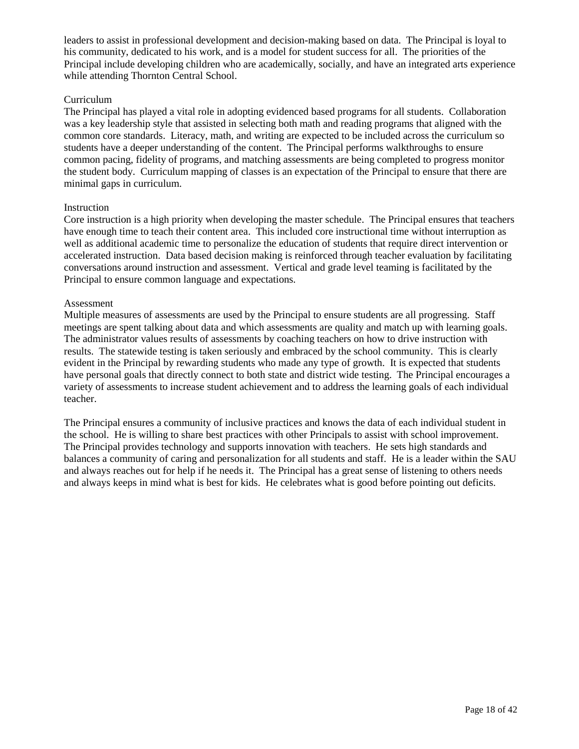leaders to assist in professional development and decision-making based on data. The Principal is loyal to his community, dedicated to his work, and is a model for student success for all. The priorities of the Principal include developing children who are academically, socially, and have an integrated arts experience while attending Thornton Central School.

#### Curriculum

The Principal has played a vital role in adopting evidenced based programs for all students. Collaboration was a key leadership style that assisted in selecting both math and reading programs that aligned with the common core standards. Literacy, math, and writing are expected to be included across the curriculum so students have a deeper understanding of the content. The Principal performs walkthroughs to ensure common pacing, fidelity of programs, and matching assessments are being completed to progress monitor the student body. Curriculum mapping of classes is an expectation of the Principal to ensure that there are minimal gaps in curriculum.

#### **Instruction**

Core instruction is a high priority when developing the master schedule. The Principal ensures that teachers have enough time to teach their content area. This included core instructional time without interruption as well as additional academic time to personalize the education of students that require direct intervention or accelerated instruction. Data based decision making is reinforced through teacher evaluation by facilitating conversations around instruction and assessment. Vertical and grade level teaming is facilitated by the Principal to ensure common language and expectations.

#### Assessment

Multiple measures of assessments are used by the Principal to ensure students are all progressing. Staff meetings are spent talking about data and which assessments are quality and match up with learning goals. The administrator values results of assessments by coaching teachers on how to drive instruction with results. The statewide testing is taken seriously and embraced by the school community. This is clearly evident in the Principal by rewarding students who made any type of growth. It is expected that students have personal goals that directly connect to both state and district wide testing. The Principal encourages a variety of assessments to increase student achievement and to address the learning goals of each individual teacher.

The Principal ensures a community of inclusive practices and knows the data of each individual student in the school. He is willing to share best practices with other Principals to assist with school improvement. The Principal provides technology and supports innovation with teachers. He sets high standards and balances a community of caring and personalization for all students and staff. He is a leader within the SAU and always reaches out for help if he needs it. The Principal has a great sense of listening to others needs and always keeps in mind what is best for kids. He celebrates what is good before pointing out deficits.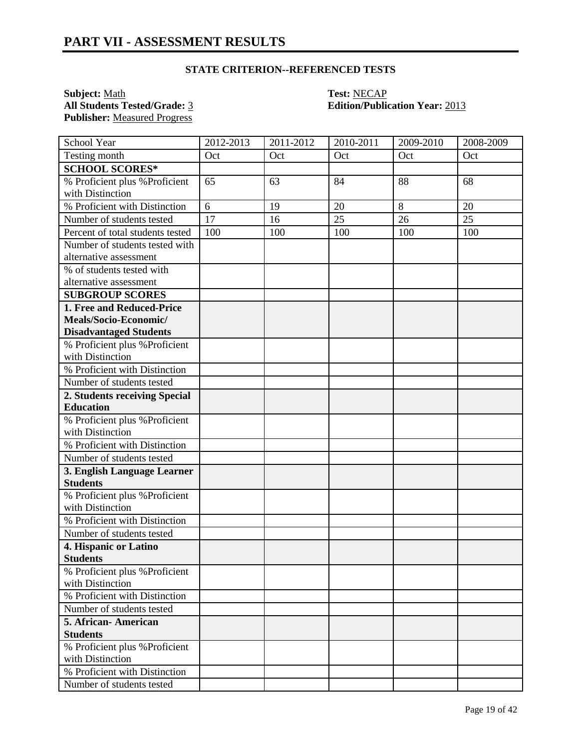**Subject:** <u>Math</u> **Test:** <u>NECAP</u><br> **All Students Tested/Grade:** <u>3</u> **Contract Contract Contract Contract Contract Contract Contract Contract Contract Contract Contract Contract Contract Contract Contract Contract Contract Publisher:** Measured Progress

## **All Students Tested/Grade:** 3 **Edition/Publication Year:** 2013

| School Year                                    | 2012-2013 | 2011-2012 | 2010-2011 | 2009-2010 | 2008-2009 |
|------------------------------------------------|-----------|-----------|-----------|-----------|-----------|
| Testing month                                  | Oct       | Oct       | Oct       | Oct       | Oct       |
| <b>SCHOOL SCORES*</b>                          |           |           |           |           |           |
| % Proficient plus % Proficient                 | 65        | 63        | 84        | 88        | 68        |
| with Distinction                               |           |           |           |           |           |
| % Proficient with Distinction                  | 6         | 19        | 20        | 8         | 20        |
| Number of students tested                      | 17        | 16        | 25        | 26        | 25        |
| Percent of total students tested               | 100       | 100       | 100       | 100       | 100       |
| Number of students tested with                 |           |           |           |           |           |
| alternative assessment                         |           |           |           |           |           |
| % of students tested with                      |           |           |           |           |           |
| alternative assessment                         |           |           |           |           |           |
| <b>SUBGROUP SCORES</b>                         |           |           |           |           |           |
| 1. Free and Reduced-Price                      |           |           |           |           |           |
| Meals/Socio-Economic/                          |           |           |           |           |           |
| <b>Disadvantaged Students</b>                  |           |           |           |           |           |
| % Proficient plus % Proficient                 |           |           |           |           |           |
| with Distinction                               |           |           |           |           |           |
| % Proficient with Distinction                  |           |           |           |           |           |
| Number of students tested                      |           |           |           |           |           |
| 2. Students receiving Special                  |           |           |           |           |           |
| <b>Education</b>                               |           |           |           |           |           |
| % Proficient plus % Proficient                 |           |           |           |           |           |
| with Distinction                               |           |           |           |           |           |
| % Proficient with Distinction                  |           |           |           |           |           |
| Number of students tested                      |           |           |           |           |           |
| 3. English Language Learner<br><b>Students</b> |           |           |           |           |           |
| % Proficient plus % Proficient                 |           |           |           |           |           |
| with Distinction                               |           |           |           |           |           |
| % Proficient with Distinction                  |           |           |           |           |           |
| Number of students tested                      |           |           |           |           |           |
| 4. Hispanic or Latino                          |           |           |           |           |           |
| <b>Students</b>                                |           |           |           |           |           |
| % Proficient plus % Proficient                 |           |           |           |           |           |
| with Distinction                               |           |           |           |           |           |
| % Proficient with Distinction                  |           |           |           |           |           |
| Number of students tested                      |           |           |           |           |           |
| 5. African-American                            |           |           |           |           |           |
| <b>Students</b>                                |           |           |           |           |           |
| % Proficient plus % Proficient                 |           |           |           |           |           |
| with Distinction                               |           |           |           |           |           |
| % Proficient with Distinction                  |           |           |           |           |           |
| Number of students tested                      |           |           |           |           |           |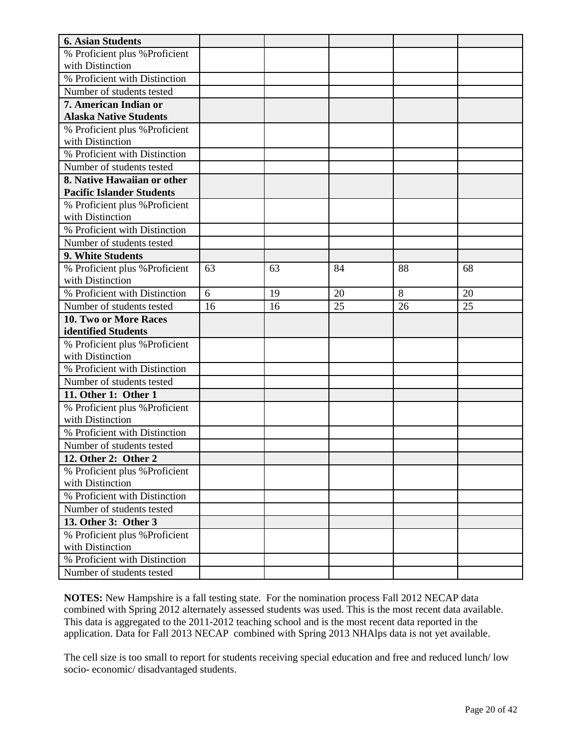| <b>6. Asian Students</b>                          |    |    |    |    |    |
|---------------------------------------------------|----|----|----|----|----|
| % Proficient plus % Proficient                    |    |    |    |    |    |
| with Distinction                                  |    |    |    |    |    |
| % Proficient with Distinction                     |    |    |    |    |    |
| Number of students tested                         |    |    |    |    |    |
| 7. American Indian or                             |    |    |    |    |    |
| <b>Alaska Native Students</b>                     |    |    |    |    |    |
| % Proficient plus % Proficient                    |    |    |    |    |    |
| with Distinction                                  |    |    |    |    |    |
| % Proficient with Distinction                     |    |    |    |    |    |
| Number of students tested                         |    |    |    |    |    |
| 8. Native Hawaiian or other                       |    |    |    |    |    |
| <b>Pacific Islander Students</b>                  |    |    |    |    |    |
| % Proficient plus % Proficient                    |    |    |    |    |    |
| with Distinction                                  |    |    |    |    |    |
| % Proficient with Distinction                     |    |    |    |    |    |
| Number of students tested                         |    |    |    |    |    |
| 9. White Students                                 |    |    |    |    |    |
| % Proficient plus % Proficient                    | 63 | 63 | 84 | 88 | 68 |
| with Distinction                                  |    |    |    |    |    |
| % Proficient with Distinction                     | 6  | 19 | 20 | 8  | 20 |
| Number of students tested                         | 16 | 16 | 25 | 26 | 25 |
| 10. Two or More Races                             |    |    |    |    |    |
| identified Students                               |    |    |    |    |    |
| % Proficient plus % Proficient                    |    |    |    |    |    |
| with Distinction                                  |    |    |    |    |    |
| % Proficient with Distinction                     |    |    |    |    |    |
| Number of students tested                         |    |    |    |    |    |
| 11. Other 1: Other 1                              |    |    |    |    |    |
| % Proficient plus % Proficient                    |    |    |    |    |    |
| with Distinction                                  |    |    |    |    |    |
| % Proficient with Distinction                     |    |    |    |    |    |
| Number of students tested                         |    |    |    |    |    |
| 12. Other 2: Other 2                              |    |    |    |    |    |
| % Proficient plus % Proficient                    |    |    |    |    |    |
| with Distinction                                  |    |    |    |    |    |
| % Proficient with Distinction                     |    |    |    |    |    |
| Number of students tested                         |    |    |    |    |    |
| 13. Other 3: Other 3                              |    |    |    |    |    |
| % Proficient plus % Proficient                    |    |    |    |    |    |
| with Distinction<br>% Proficient with Distinction |    |    |    |    |    |
|                                                   |    |    |    |    |    |
| Number of students tested                         |    |    |    |    |    |

The cell size is too small to report for students receiving special education and free and reduced lunch/ low socio- economic/ disadvantaged students.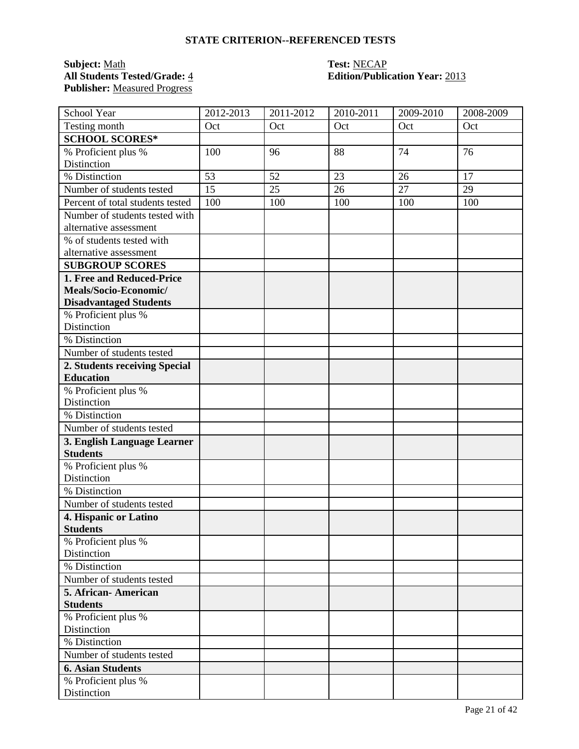### **Subject:** <u>Math</u><br> **All Students Tested/Grade:** <u>4</u> **Test: NECAP**<br> **Edition/Public Publisher:** Measured Progress

# **All Students Tested/Grade:** 4 **Edition/Publication Year:** 2013

| School Year                                    | 2012-2013 | 2011-2012 | 2010-2011 | 2009-2010 | 2008-2009 |
|------------------------------------------------|-----------|-----------|-----------|-----------|-----------|
| Testing month                                  | Oct       | Oct       | Oct       | Oct       | Oct       |
| <b>SCHOOL SCORES*</b>                          |           |           |           |           |           |
| % Proficient plus %                            | 100       | 96        | 88        | 74        | 76        |
| Distinction                                    |           |           |           |           |           |
| % Distinction                                  | 53        | 52        | 23        | 26        | 17        |
| Number of students tested                      | 15        | 25        | 26        | 27        | 29        |
| Percent of total students tested               | 100       | 100       | 100       | 100       | 100       |
| Number of students tested with                 |           |           |           |           |           |
| alternative assessment                         |           |           |           |           |           |
| % of students tested with                      |           |           |           |           |           |
| alternative assessment                         |           |           |           |           |           |
| <b>SUBGROUP SCORES</b>                         |           |           |           |           |           |
| 1. Free and Reduced-Price                      |           |           |           |           |           |
| Meals/Socio-Economic/                          |           |           |           |           |           |
| <b>Disadvantaged Students</b>                  |           |           |           |           |           |
| % Proficient plus %                            |           |           |           |           |           |
| Distinction                                    |           |           |           |           |           |
| % Distinction                                  |           |           |           |           |           |
| Number of students tested                      |           |           |           |           |           |
| 2. Students receiving Special                  |           |           |           |           |           |
| <b>Education</b>                               |           |           |           |           |           |
| % Proficient plus %                            |           |           |           |           |           |
| Distinction<br>% Distinction                   |           |           |           |           |           |
| Number of students tested                      |           |           |           |           |           |
|                                                |           |           |           |           |           |
| 3. English Language Learner<br><b>Students</b> |           |           |           |           |           |
| % Proficient plus %                            |           |           |           |           |           |
| Distinction                                    |           |           |           |           |           |
| % Distinction                                  |           |           |           |           |           |
| Number of students tested                      |           |           |           |           |           |
| 4. Hispanic or Latino                          |           |           |           |           |           |
| <b>Students</b>                                |           |           |           |           |           |
| % Proficient plus %                            |           |           |           |           |           |
| Distinction                                    |           |           |           |           |           |
| % Distinction                                  |           |           |           |           |           |
| Number of students tested                      |           |           |           |           |           |
| 5. African-American                            |           |           |           |           |           |
| <b>Students</b>                                |           |           |           |           |           |
| % Proficient plus %                            |           |           |           |           |           |
| Distinction                                    |           |           |           |           |           |
| % Distinction                                  |           |           |           |           |           |
| Number of students tested                      |           |           |           |           |           |
| <b>6. Asian Students</b>                       |           |           |           |           |           |
| % Proficient plus %                            |           |           |           |           |           |
| Distinction                                    |           |           |           |           |           |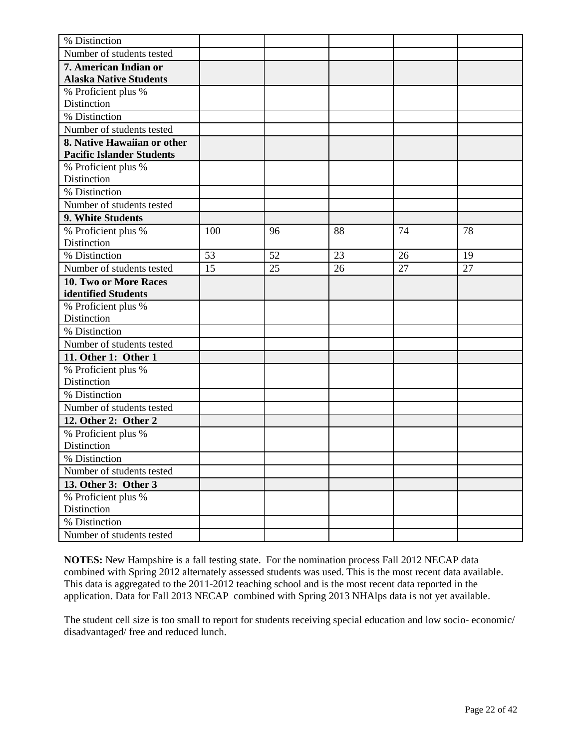| % Distinction                    |     |    |    |    |    |
|----------------------------------|-----|----|----|----|----|
| Number of students tested        |     |    |    |    |    |
| 7. American Indian or            |     |    |    |    |    |
| <b>Alaska Native Students</b>    |     |    |    |    |    |
| % Proficient plus %              |     |    |    |    |    |
| Distinction                      |     |    |    |    |    |
| % Distinction                    |     |    |    |    |    |
| Number of students tested        |     |    |    |    |    |
| 8. Native Hawaiian or other      |     |    |    |    |    |
| <b>Pacific Islander Students</b> |     |    |    |    |    |
| % Proficient plus %              |     |    |    |    |    |
| Distinction                      |     |    |    |    |    |
| % Distinction                    |     |    |    |    |    |
| Number of students tested        |     |    |    |    |    |
| 9. White Students                |     |    |    |    |    |
| % Proficient plus %              | 100 | 96 | 88 | 74 | 78 |
| Distinction                      |     |    |    |    |    |
| % Distinction                    | 53  | 52 | 23 | 26 | 19 |
| Number of students tested        | 15  | 25 | 26 | 27 | 27 |
| <b>10. Two or More Races</b>     |     |    |    |    |    |
| identified Students              |     |    |    |    |    |
| % Proficient plus %              |     |    |    |    |    |
| Distinction                      |     |    |    |    |    |
| % Distinction                    |     |    |    |    |    |
| Number of students tested        |     |    |    |    |    |
| 11. Other 1: Other 1             |     |    |    |    |    |
| % Proficient plus %              |     |    |    |    |    |
| Distinction                      |     |    |    |    |    |
| % Distinction                    |     |    |    |    |    |
| Number of students tested        |     |    |    |    |    |
| 12. Other 2: Other 2             |     |    |    |    |    |
| % Proficient plus %              |     |    |    |    |    |
| Distinction                      |     |    |    |    |    |
| % Distinction                    |     |    |    |    |    |
| Number of students tested        |     |    |    |    |    |
| 13. Other 3: Other 3             |     |    |    |    |    |
| % Proficient plus %              |     |    |    |    |    |
| Distinction                      |     |    |    |    |    |
| % Distinction                    |     |    |    |    |    |
| Number of students tested        |     |    |    |    |    |

The student cell size is too small to report for students receiving special education and low socio- economic/ disadvantaged/ free and reduced lunch.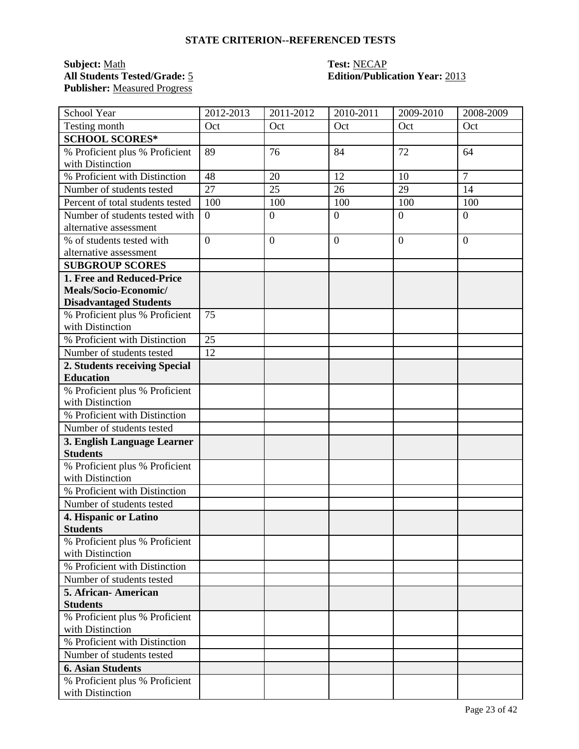### **Subject:** <u>Math</u><br> **All Students Tested/Grade:** 5 **Test: Test: NECAP**<br> **Edition/Public Publisher:** Measured Progress

# **Edition/Publication Year: 2013**

| School Year                                              | 2012-2013        | 2011-2012        | 2010-2011      | 2009-2010      | 2008-2009      |
|----------------------------------------------------------|------------------|------------------|----------------|----------------|----------------|
| Testing month                                            | Oct              | Oct              | Oct            | Oct            | Oct            |
| <b>SCHOOL SCORES*</b>                                    |                  |                  |                |                |                |
| % Proficient plus % Proficient                           | 89               | 76               | 84             | 72             | 64             |
| with Distinction                                         |                  |                  |                |                |                |
| % Proficient with Distinction                            | 48               | 20               | 12             | 10             | $\overline{7}$ |
| Number of students tested                                | 27               | 25               | 26             | 29             | 14             |
| Percent of total students tested                         | 100              | 100              | 100            | 100            | 100            |
| Number of students tested with<br>alternative assessment | $\boldsymbol{0}$ | $\overline{0}$   | $\overline{0}$ | $\overline{0}$ | $\overline{0}$ |
| % of students tested with                                | $\boldsymbol{0}$ | $\boldsymbol{0}$ | $\overline{0}$ | $\overline{0}$ | $\theta$       |
| alternative assessment                                   |                  |                  |                |                |                |
| <b>SUBGROUP SCORES</b>                                   |                  |                  |                |                |                |
| 1. Free and Reduced-Price                                |                  |                  |                |                |                |
| Meals/Socio-Economic/                                    |                  |                  |                |                |                |
| <b>Disadvantaged Students</b>                            |                  |                  |                |                |                |
| % Proficient plus % Proficient                           | 75               |                  |                |                |                |
| with Distinction                                         |                  |                  |                |                |                |
| % Proficient with Distinction                            | 25               |                  |                |                |                |
| Number of students tested                                | 12               |                  |                |                |                |
| 2. Students receiving Special                            |                  |                  |                |                |                |
| <b>Education</b>                                         |                  |                  |                |                |                |
| % Proficient plus % Proficient                           |                  |                  |                |                |                |
| with Distinction                                         |                  |                  |                |                |                |
| % Proficient with Distinction                            |                  |                  |                |                |                |
| Number of students tested                                |                  |                  |                |                |                |
| 3. English Language Learner<br><b>Students</b>           |                  |                  |                |                |                |
| % Proficient plus % Proficient<br>with Distinction       |                  |                  |                |                |                |
| % Proficient with Distinction                            |                  |                  |                |                |                |
| Number of students tested                                |                  |                  |                |                |                |
| 4. Hispanic or Latino                                    |                  |                  |                |                |                |
| <b>Students</b>                                          |                  |                  |                |                |                |
| % Proficient plus % Proficient<br>with Distinction       |                  |                  |                |                |                |
| % Proficient with Distinction                            |                  |                  |                |                |                |
| Number of students tested                                |                  |                  |                |                |                |
| 5. African-American                                      |                  |                  |                |                |                |
| <b>Students</b>                                          |                  |                  |                |                |                |
| % Proficient plus % Proficient                           |                  |                  |                |                |                |
| with Distinction                                         |                  |                  |                |                |                |
| % Proficient with Distinction                            |                  |                  |                |                |                |
| Number of students tested                                |                  |                  |                |                |                |
| <b>6. Asian Students</b>                                 |                  |                  |                |                |                |
| % Proficient plus % Proficient                           |                  |                  |                |                |                |
| with Distinction                                         |                  |                  |                |                |                |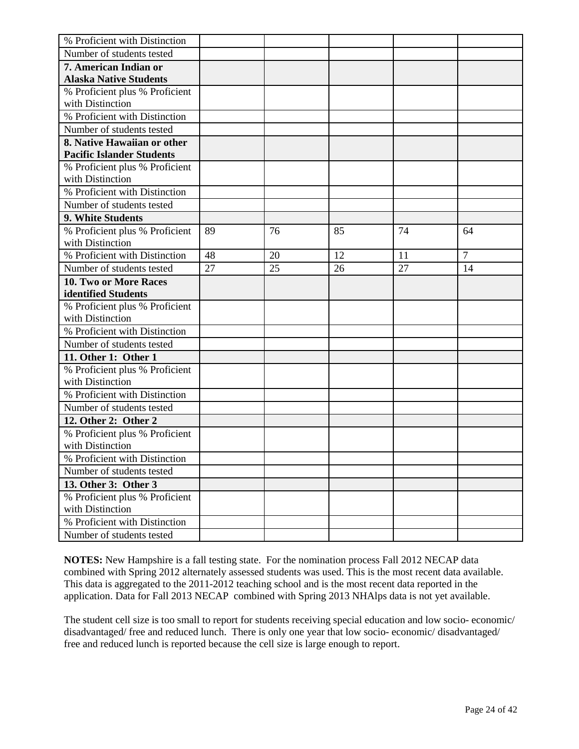| % Proficient with Distinction    |    |    |    |    |                |
|----------------------------------|----|----|----|----|----------------|
| Number of students tested        |    |    |    |    |                |
| 7. American Indian or            |    |    |    |    |                |
| <b>Alaska Native Students</b>    |    |    |    |    |                |
| % Proficient plus % Proficient   |    |    |    |    |                |
| with Distinction                 |    |    |    |    |                |
| % Proficient with Distinction    |    |    |    |    |                |
| Number of students tested        |    |    |    |    |                |
| 8. Native Hawaiian or other      |    |    |    |    |                |
| <b>Pacific Islander Students</b> |    |    |    |    |                |
| % Proficient plus % Proficient   |    |    |    |    |                |
| with Distinction                 |    |    |    |    |                |
| % Proficient with Distinction    |    |    |    |    |                |
| Number of students tested        |    |    |    |    |                |
| 9. White Students                |    |    |    |    |                |
| % Proficient plus % Proficient   | 89 | 76 | 85 | 74 | 64             |
| with Distinction                 |    |    |    |    |                |
| % Proficient with Distinction    | 48 | 20 | 12 | 11 | $\overline{7}$ |
| Number of students tested        | 27 | 25 | 26 | 27 | 14             |
| <b>10. Two or More Races</b>     |    |    |    |    |                |
| identified Students              |    |    |    |    |                |
| % Proficient plus % Proficient   |    |    |    |    |                |
| with Distinction                 |    |    |    |    |                |
| % Proficient with Distinction    |    |    |    |    |                |
| Number of students tested        |    |    |    |    |                |
| 11. Other 1: Other 1             |    |    |    |    |                |
| % Proficient plus % Proficient   |    |    |    |    |                |
| with Distinction                 |    |    |    |    |                |
| % Proficient with Distinction    |    |    |    |    |                |
| Number of students tested        |    |    |    |    |                |
| 12. Other 2: Other 2             |    |    |    |    |                |
| % Proficient plus % Proficient   |    |    |    |    |                |
| with Distinction                 |    |    |    |    |                |
| % Proficient with Distinction    |    |    |    |    |                |
| Number of students tested        |    |    |    |    |                |
| 13. Other 3: Other 3             |    |    |    |    |                |
| % Proficient plus % Proficient   |    |    |    |    |                |
| with Distinction                 |    |    |    |    |                |
| % Proficient with Distinction    |    |    |    |    |                |
| Number of students tested        |    |    |    |    |                |

The student cell size is too small to report for students receiving special education and low socio- economic/ disadvantaged/ free and reduced lunch. There is only one year that low socio- economic/ disadvantaged/ free and reduced lunch is reported because the cell size is large enough to report.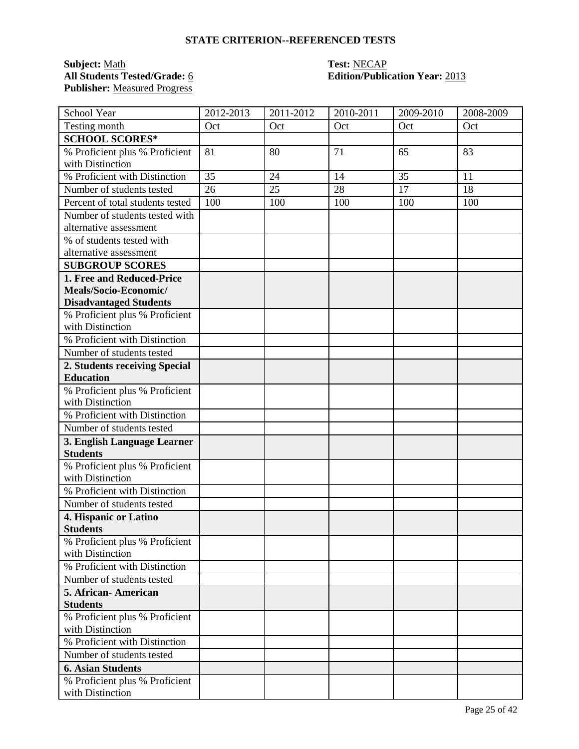### **Subject:** <u>Math</u> **Test:** <u>NECAP</u><br> **All Students Tested/Grade:** <u>6</u> **Test: Containery <b>Containery Containery Containery Containery Containery Publisher:** Measured Progress

# **All Students Tested/Grade:** 6 **Edition/Publication Year:** 2013

| School Year                                        | 2012-2013 | 2011-2012 | 2010-2011 | 2009-2010 | 2008-2009 |
|----------------------------------------------------|-----------|-----------|-----------|-----------|-----------|
| Testing month                                      | Oct       | Oct       | Oct       | Oct       | Oct       |
| <b>SCHOOL SCORES*</b>                              |           |           |           |           |           |
| % Proficient plus % Proficient                     | 81        | 80        | 71        | 65        | 83        |
| with Distinction                                   |           |           |           |           |           |
| % Proficient with Distinction                      | 35        | 24        | 14        | 35        | 11        |
| Number of students tested                          | 26        | 25        | 28        | 17        | 18        |
| Percent of total students tested                   | 100       | 100       | 100       | 100       | 100       |
| Number of students tested with                     |           |           |           |           |           |
| alternative assessment                             |           |           |           |           |           |
| % of students tested with                          |           |           |           |           |           |
| alternative assessment                             |           |           |           |           |           |
| <b>SUBGROUP SCORES</b>                             |           |           |           |           |           |
| 1. Free and Reduced-Price                          |           |           |           |           |           |
| Meals/Socio-Economic/                              |           |           |           |           |           |
| <b>Disadvantaged Students</b>                      |           |           |           |           |           |
| % Proficient plus % Proficient                     |           |           |           |           |           |
| with Distinction<br>% Proficient with Distinction  |           |           |           |           |           |
| Number of students tested                          |           |           |           |           |           |
|                                                    |           |           |           |           |           |
| 2. Students receiving Special<br><b>Education</b>  |           |           |           |           |           |
| % Proficient plus % Proficient                     |           |           |           |           |           |
| with Distinction                                   |           |           |           |           |           |
| % Proficient with Distinction                      |           |           |           |           |           |
| Number of students tested                          |           |           |           |           |           |
| 3. English Language Learner                        |           |           |           |           |           |
| <b>Students</b>                                    |           |           |           |           |           |
| % Proficient plus % Proficient                     |           |           |           |           |           |
| with Distinction                                   |           |           |           |           |           |
| % Proficient with Distinction                      |           |           |           |           |           |
| Number of students tested                          |           |           |           |           |           |
| 4. Hispanic or Latino                              |           |           |           |           |           |
| <b>Students</b>                                    |           |           |           |           |           |
| % Proficient plus % Proficient                     |           |           |           |           |           |
| with Distinction                                   |           |           |           |           |           |
| % Proficient with Distinction                      |           |           |           |           |           |
| Number of students tested                          |           |           |           |           |           |
| 5. African-American                                |           |           |           |           |           |
| <b>Students</b>                                    |           |           |           |           |           |
| % Proficient plus % Proficient<br>with Distinction |           |           |           |           |           |
| % Proficient with Distinction                      |           |           |           |           |           |
| Number of students tested                          |           |           |           |           |           |
| <b>6. Asian Students</b>                           |           |           |           |           |           |
| % Proficient plus % Proficient                     |           |           |           |           |           |
| with Distinction                                   |           |           |           |           |           |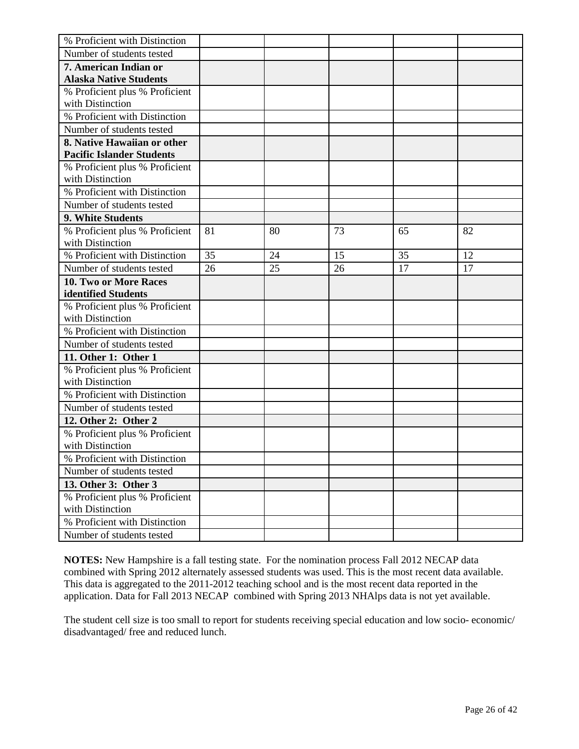| % Proficient with Distinction    |    |    |    |    |    |
|----------------------------------|----|----|----|----|----|
| Number of students tested        |    |    |    |    |    |
| 7. American Indian or            |    |    |    |    |    |
| <b>Alaska Native Students</b>    |    |    |    |    |    |
| % Proficient plus % Proficient   |    |    |    |    |    |
| with Distinction                 |    |    |    |    |    |
| % Proficient with Distinction    |    |    |    |    |    |
| Number of students tested        |    |    |    |    |    |
| 8. Native Hawaiian or other      |    |    |    |    |    |
| <b>Pacific Islander Students</b> |    |    |    |    |    |
| % Proficient plus % Proficient   |    |    |    |    |    |
| with Distinction                 |    |    |    |    |    |
| % Proficient with Distinction    |    |    |    |    |    |
| Number of students tested        |    |    |    |    |    |
| 9. White Students                |    |    |    |    |    |
| % Proficient plus % Proficient   | 81 | 80 | 73 | 65 | 82 |
| with Distinction                 |    |    |    |    |    |
| % Proficient with Distinction    | 35 | 24 | 15 | 35 | 12 |
| Number of students tested        | 26 | 25 | 26 | 17 | 17 |
| <b>10. Two or More Races</b>     |    |    |    |    |    |
| identified Students              |    |    |    |    |    |
| % Proficient plus % Proficient   |    |    |    |    |    |
| with Distinction                 |    |    |    |    |    |
| % Proficient with Distinction    |    |    |    |    |    |
| Number of students tested        |    |    |    |    |    |
| 11. Other 1: Other 1             |    |    |    |    |    |
| % Proficient plus % Proficient   |    |    |    |    |    |
| with Distinction                 |    |    |    |    |    |
| % Proficient with Distinction    |    |    |    |    |    |
| Number of students tested        |    |    |    |    |    |
| 12. Other 2: Other 2             |    |    |    |    |    |
| % Proficient plus % Proficient   |    |    |    |    |    |
| with Distinction                 |    |    |    |    |    |
| % Proficient with Distinction    |    |    |    |    |    |
| Number of students tested        |    |    |    |    |    |
| 13. Other 3: Other 3             |    |    |    |    |    |
| % Proficient plus % Proficient   |    |    |    |    |    |
| with Distinction                 |    |    |    |    |    |
| % Proficient with Distinction    |    |    |    |    |    |
| Number of students tested        |    |    |    |    |    |

The student cell size is too small to report for students receiving special education and low socio- economic/ disadvantaged/ free and reduced lunch.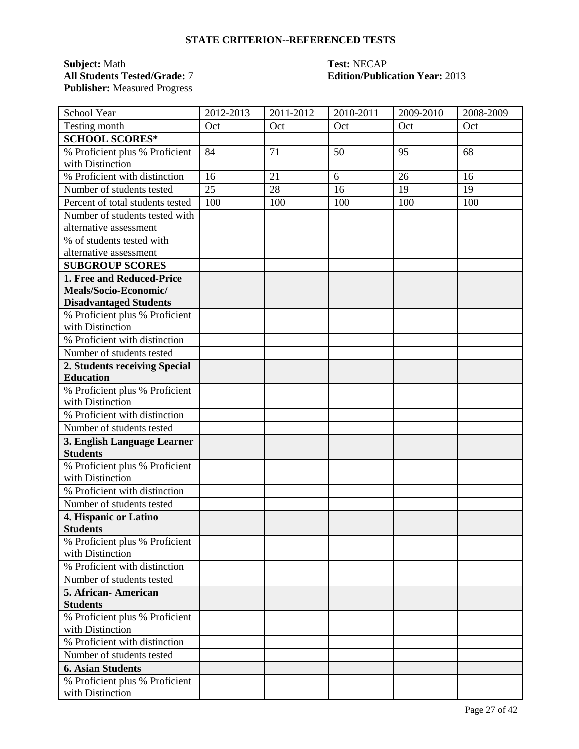### **Subject:** Math **Test:** NECAP **Publisher:** Measured Progress

# **Edition/Publication Year: 2013**

| School Year                                        | 2012-2013 | 2011-2012 | 2010-2011 | 2009-2010 | 2008-2009 |
|----------------------------------------------------|-----------|-----------|-----------|-----------|-----------|
| Testing month                                      | Oct       | Oct       | Oct       | Oct       | Oct       |
| <b>SCHOOL SCORES*</b>                              |           |           |           |           |           |
| % Proficient plus % Proficient                     | 84        | 71        | 50        | 95        | 68        |
| with Distinction                                   |           |           |           |           |           |
| % Proficient with distinction                      | 16        | 21        | 6         | 26        | 16        |
| Number of students tested                          | 25        | 28        | 16        | 19        | 19        |
| Percent of total students tested                   | 100       | 100       | 100       | 100       | 100       |
| Number of students tested with                     |           |           |           |           |           |
| alternative assessment                             |           |           |           |           |           |
| % of students tested with                          |           |           |           |           |           |
| alternative assessment                             |           |           |           |           |           |
| <b>SUBGROUP SCORES</b>                             |           |           |           |           |           |
| 1. Free and Reduced-Price                          |           |           |           |           |           |
| Meals/Socio-Economic/                              |           |           |           |           |           |
| <b>Disadvantaged Students</b>                      |           |           |           |           |           |
| % Proficient plus % Proficient<br>with Distinction |           |           |           |           |           |
| % Proficient with distinction                      |           |           |           |           |           |
| Number of students tested                          |           |           |           |           |           |
| 2. Students receiving Special                      |           |           |           |           |           |
| <b>Education</b>                                   |           |           |           |           |           |
| % Proficient plus % Proficient                     |           |           |           |           |           |
| with Distinction                                   |           |           |           |           |           |
| % Proficient with distinction                      |           |           |           |           |           |
| Number of students tested                          |           |           |           |           |           |
| 3. English Language Learner                        |           |           |           |           |           |
| <b>Students</b>                                    |           |           |           |           |           |
| % Proficient plus % Proficient<br>with Distinction |           |           |           |           |           |
| % Proficient with distinction                      |           |           |           |           |           |
| Number of students tested                          |           |           |           |           |           |
| 4. Hispanic or Latino                              |           |           |           |           |           |
| <b>Students</b>                                    |           |           |           |           |           |
| % Proficient plus % Proficient<br>with Distinction |           |           |           |           |           |
| % Proficient with distinction                      |           |           |           |           |           |
| Number of students tested                          |           |           |           |           |           |
| 5. African-American                                |           |           |           |           |           |
| <b>Students</b>                                    |           |           |           |           |           |
| % Proficient plus % Proficient                     |           |           |           |           |           |
| with Distinction                                   |           |           |           |           |           |
| % Proficient with distinction                      |           |           |           |           |           |
| Number of students tested                          |           |           |           |           |           |
| <b>6. Asian Students</b>                           |           |           |           |           |           |
| % Proficient plus % Proficient                     |           |           |           |           |           |
| with Distinction                                   |           |           |           |           |           |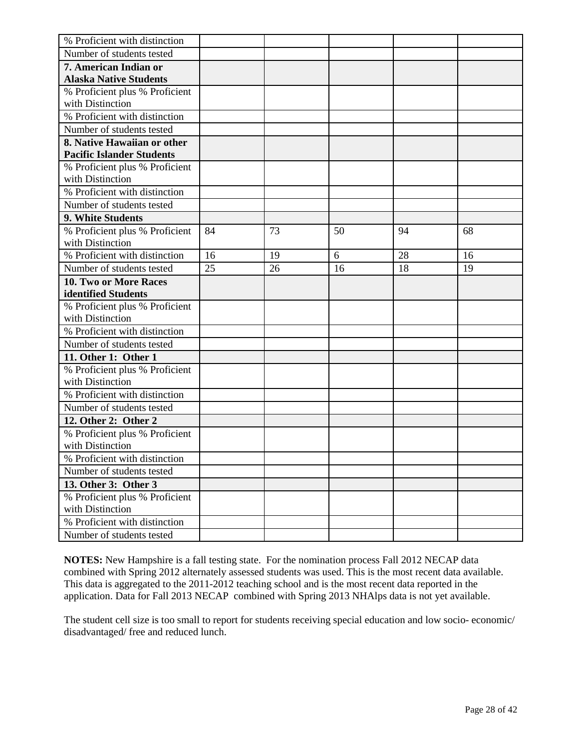| % Proficient with distinction    |    |    |    |    |    |
|----------------------------------|----|----|----|----|----|
| Number of students tested        |    |    |    |    |    |
| 7. American Indian or            |    |    |    |    |    |
| <b>Alaska Native Students</b>    |    |    |    |    |    |
| % Proficient plus % Proficient   |    |    |    |    |    |
| with Distinction                 |    |    |    |    |    |
| % Proficient with distinction    |    |    |    |    |    |
| Number of students tested        |    |    |    |    |    |
| 8. Native Hawaiian or other      |    |    |    |    |    |
| <b>Pacific Islander Students</b> |    |    |    |    |    |
| % Proficient plus % Proficient   |    |    |    |    |    |
| with Distinction                 |    |    |    |    |    |
| % Proficient with distinction    |    |    |    |    |    |
| Number of students tested        |    |    |    |    |    |
| 9. White Students                |    |    |    |    |    |
| % Proficient plus % Proficient   | 84 | 73 | 50 | 94 | 68 |
| with Distinction                 |    |    |    |    |    |
| % Proficient with distinction    | 16 | 19 | 6  | 28 | 16 |
| Number of students tested        | 25 | 26 | 16 | 18 | 19 |
| 10. Two or More Races            |    |    |    |    |    |
| identified Students              |    |    |    |    |    |
| % Proficient plus % Proficient   |    |    |    |    |    |
| with Distinction                 |    |    |    |    |    |
| % Proficient with distinction    |    |    |    |    |    |
| Number of students tested        |    |    |    |    |    |
| 11. Other 1: Other 1             |    |    |    |    |    |
| % Proficient plus % Proficient   |    |    |    |    |    |
| with Distinction                 |    |    |    |    |    |
| % Proficient with distinction    |    |    |    |    |    |
| Number of students tested        |    |    |    |    |    |
| 12. Other 2: Other 2             |    |    |    |    |    |
| % Proficient plus % Proficient   |    |    |    |    |    |
| with Distinction                 |    |    |    |    |    |
| % Proficient with distinction    |    |    |    |    |    |
| Number of students tested        |    |    |    |    |    |
| 13. Other 3: Other 3             |    |    |    |    |    |
| % Proficient plus % Proficient   |    |    |    |    |    |
| with Distinction                 |    |    |    |    |    |
| % Proficient with distinction    |    |    |    |    |    |
| Number of students tested        |    |    |    |    |    |

The student cell size is too small to report for students receiving special education and low socio- economic/ disadvantaged/ free and reduced lunch.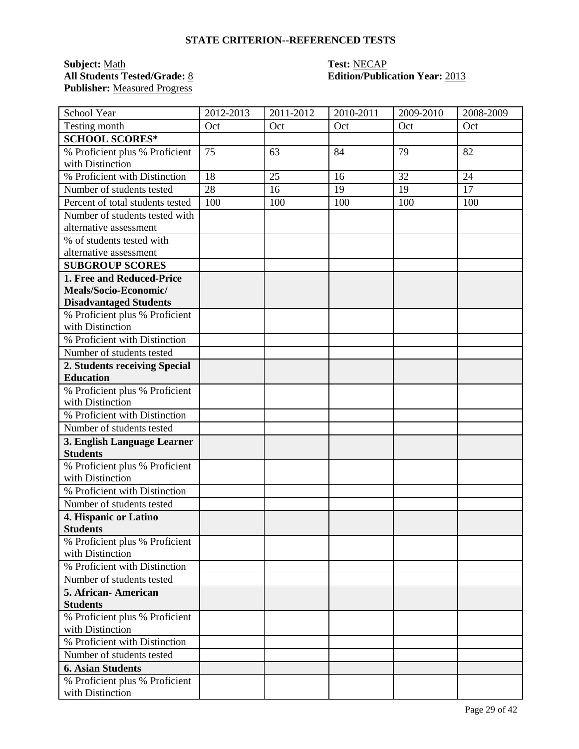### **Subject:** Math **Test:** NECAP **Publisher:** Measured Progress

# **Edition/Publication Year: 2013**

| School Year                                                                                                                                                                                                                                                                                                                                                                         | 2012-2013 | 2011-2012 | 2010-2011 | 2009-2010 | 2008-2009 |
|-------------------------------------------------------------------------------------------------------------------------------------------------------------------------------------------------------------------------------------------------------------------------------------------------------------------------------------------------------------------------------------|-----------|-----------|-----------|-----------|-----------|
| Testing month                                                                                                                                                                                                                                                                                                                                                                       | Oct       | Oct       | Oct       | Oct       | Oct       |
| <b>SCHOOL SCORES*</b>                                                                                                                                                                                                                                                                                                                                                               |           |           |           |           |           |
| % Proficient plus % Proficient                                                                                                                                                                                                                                                                                                                                                      | 75        | 63        | 84        | 79        | 82        |
| with Distinction                                                                                                                                                                                                                                                                                                                                                                    |           |           |           |           |           |
| % Proficient with Distinction                                                                                                                                                                                                                                                                                                                                                       | 18        | 25        | 16        | 32        | 24        |
| Number of students tested                                                                                                                                                                                                                                                                                                                                                           | 28        | 16        | 19        | 19        | 17        |
| Percent of total students tested                                                                                                                                                                                                                                                                                                                                                    | 100       | 100       | 100       | 100       | 100       |
| Number of students tested with                                                                                                                                                                                                                                                                                                                                                      |           |           |           |           |           |
| alternative assessment                                                                                                                                                                                                                                                                                                                                                              |           |           |           |           |           |
| % of students tested with                                                                                                                                                                                                                                                                                                                                                           |           |           |           |           |           |
| alternative assessment                                                                                                                                                                                                                                                                                                                                                              |           |           |           |           |           |
| <b>SUBGROUP SCORES</b>                                                                                                                                                                                                                                                                                                                                                              |           |           |           |           |           |
| 1. Free and Reduced-Price                                                                                                                                                                                                                                                                                                                                                           |           |           |           |           |           |
| Meals/Socio-Economic/                                                                                                                                                                                                                                                                                                                                                               |           |           |           |           |           |
| <b>Disadvantaged Students</b>                                                                                                                                                                                                                                                                                                                                                       |           |           |           |           |           |
| % Proficient plus % Proficient<br>with Distinction                                                                                                                                                                                                                                                                                                                                  |           |           |           |           |           |
| % Proficient with Distinction                                                                                                                                                                                                                                                                                                                                                       |           |           |           |           |           |
| Number of students tested                                                                                                                                                                                                                                                                                                                                                           |           |           |           |           |           |
| 2. Students receiving Special                                                                                                                                                                                                                                                                                                                                                       |           |           |           |           |           |
| <b>Education</b>                                                                                                                                                                                                                                                                                                                                                                    |           |           |           |           |           |
| % Proficient plus % Proficient                                                                                                                                                                                                                                                                                                                                                      |           |           |           |           |           |
| with Distinction                                                                                                                                                                                                                                                                                                                                                                    |           |           |           |           |           |
| % Proficient with Distinction                                                                                                                                                                                                                                                                                                                                                       |           |           |           |           |           |
| Number of students tested                                                                                                                                                                                                                                                                                                                                                           |           |           |           |           |           |
| 3. English Language Learner                                                                                                                                                                                                                                                                                                                                                         |           |           |           |           |           |
| <b>Students</b>                                                                                                                                                                                                                                                                                                                                                                     |           |           |           |           |           |
| % Proficient plus % Proficient                                                                                                                                                                                                                                                                                                                                                      |           |           |           |           |           |
| with Distinction                                                                                                                                                                                                                                                                                                                                                                    |           |           |           |           |           |
| % Proficient with Distinction                                                                                                                                                                                                                                                                                                                                                       |           |           |           |           |           |
| Number of students tested                                                                                                                                                                                                                                                                                                                                                           |           |           |           |           |           |
| 4. Hispanic or Latino                                                                                                                                                                                                                                                                                                                                                               |           |           |           |           |           |
|                                                                                                                                                                                                                                                                                                                                                                                     |           |           |           |           |           |
|                                                                                                                                                                                                                                                                                                                                                                                     |           |           |           |           |           |
|                                                                                                                                                                                                                                                                                                                                                                                     |           |           |           |           |           |
|                                                                                                                                                                                                                                                                                                                                                                                     |           |           |           |           |           |
|                                                                                                                                                                                                                                                                                                                                                                                     |           |           |           |           |           |
|                                                                                                                                                                                                                                                                                                                                                                                     |           |           |           |           |           |
|                                                                                                                                                                                                                                                                                                                                                                                     |           |           |           |           |           |
|                                                                                                                                                                                                                                                                                                                                                                                     |           |           |           |           |           |
|                                                                                                                                                                                                                                                                                                                                                                                     |           |           |           |           |           |
|                                                                                                                                                                                                                                                                                                                                                                                     |           |           |           |           |           |
|                                                                                                                                                                                                                                                                                                                                                                                     |           |           |           |           |           |
|                                                                                                                                                                                                                                                                                                                                                                                     |           |           |           |           |           |
|                                                                                                                                                                                                                                                                                                                                                                                     |           |           |           |           |           |
| <b>Students</b><br>% Proficient plus % Proficient<br>with Distinction<br>% Proficient with Distinction<br>Number of students tested<br>5. African-American<br><b>Students</b><br>% Proficient plus % Proficient<br>with Distinction<br>% Proficient with Distinction<br>Number of students tested<br><b>6. Asian Students</b><br>% Proficient plus % Proficient<br>with Distinction |           |           |           |           |           |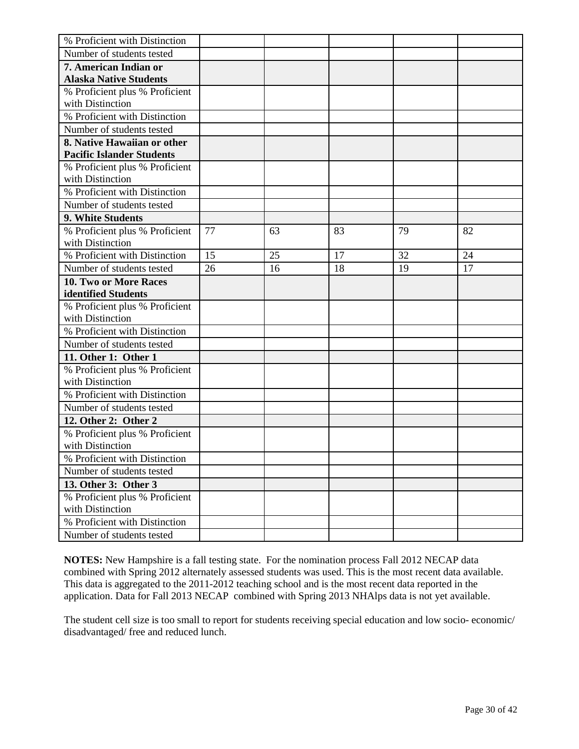| % Proficient with Distinction    |    |    |    |    |    |
|----------------------------------|----|----|----|----|----|
| Number of students tested        |    |    |    |    |    |
| 7. American Indian or            |    |    |    |    |    |
| <b>Alaska Native Students</b>    |    |    |    |    |    |
| % Proficient plus % Proficient   |    |    |    |    |    |
| with Distinction                 |    |    |    |    |    |
| % Proficient with Distinction    |    |    |    |    |    |
| Number of students tested        |    |    |    |    |    |
| 8. Native Hawaiian or other      |    |    |    |    |    |
| <b>Pacific Islander Students</b> |    |    |    |    |    |
| % Proficient plus % Proficient   |    |    |    |    |    |
| with Distinction                 |    |    |    |    |    |
| % Proficient with Distinction    |    |    |    |    |    |
| Number of students tested        |    |    |    |    |    |
| 9. White Students                |    |    |    |    |    |
| % Proficient plus % Proficient   | 77 | 63 | 83 | 79 | 82 |
| with Distinction                 |    |    |    |    |    |
| % Proficient with Distinction    | 15 | 25 | 17 | 32 | 24 |
| Number of students tested        | 26 | 16 | 18 | 19 | 17 |
| 10. Two or More Races            |    |    |    |    |    |
| identified Students              |    |    |    |    |    |
| % Proficient plus % Proficient   |    |    |    |    |    |
| with Distinction                 |    |    |    |    |    |
| % Proficient with Distinction    |    |    |    |    |    |
| Number of students tested        |    |    |    |    |    |
| 11. Other 1: Other 1             |    |    |    |    |    |
| % Proficient plus % Proficient   |    |    |    |    |    |
| with Distinction                 |    |    |    |    |    |
| % Proficient with Distinction    |    |    |    |    |    |
| Number of students tested        |    |    |    |    |    |
| 12. Other 2: Other 2             |    |    |    |    |    |
| % Proficient plus % Proficient   |    |    |    |    |    |
| with Distinction                 |    |    |    |    |    |
| % Proficient with Distinction    |    |    |    |    |    |
| Number of students tested        |    |    |    |    |    |
| 13. Other 3: Other 3             |    |    |    |    |    |
| % Proficient plus % Proficient   |    |    |    |    |    |
| with Distinction                 |    |    |    |    |    |
| % Proficient with Distinction    |    |    |    |    |    |
| Number of students tested        |    |    |    |    |    |

The student cell size is too small to report for students receiving special education and low socio- economic/ disadvantaged/ free and reduced lunch.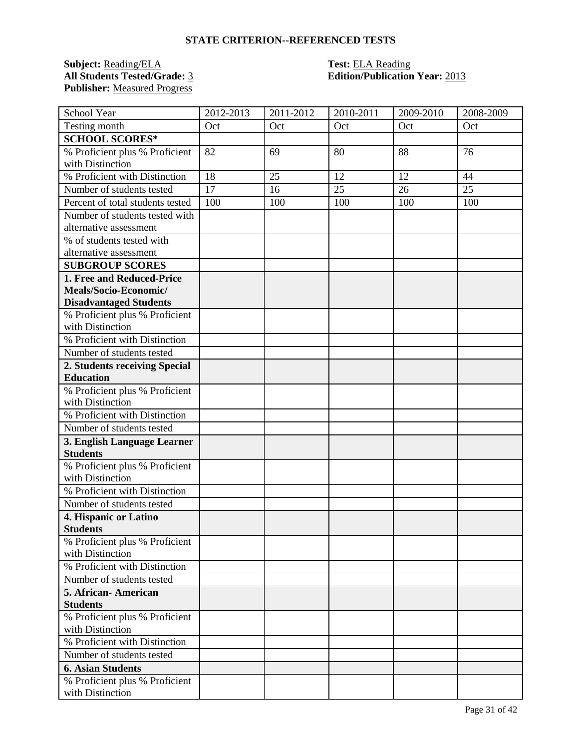### **Subject:** <u>Reading/ELA</u> **Test:** <u>ELA Reading</u><br> **All Students Tested/Grade:** 3 **Edition/Publication Publisher:** Measured Progress

## **All Students Tested/Grade:** 3 **Edition/Publication Year:** 2013

| School Year                                       | 2012-2013 | 2011-2012 | 2010-2011 | 2009-2010 | 2008-2009 |
|---------------------------------------------------|-----------|-----------|-----------|-----------|-----------|
| Testing month                                     | Oct       | Oct       | Oct       | Oct       | Oct       |
| <b>SCHOOL SCORES*</b>                             |           |           |           |           |           |
| % Proficient plus % Proficient                    | 82        | 69        | 80        | 88        | 76        |
| with Distinction                                  |           |           |           |           |           |
| % Proficient with Distinction                     | 18        | 25        | 12        | 12        | 44        |
| Number of students tested                         | 17        | 16        | 25        | 26        | 25        |
| Percent of total students tested                  | 100       | 100       | 100       | 100       | 100       |
| Number of students tested with                    |           |           |           |           |           |
| alternative assessment                            |           |           |           |           |           |
| % of students tested with                         |           |           |           |           |           |
| alternative assessment                            |           |           |           |           |           |
| <b>SUBGROUP SCORES</b>                            |           |           |           |           |           |
| 1. Free and Reduced-Price                         |           |           |           |           |           |
| Meals/Socio-Economic/                             |           |           |           |           |           |
| <b>Disadvantaged Students</b>                     |           |           |           |           |           |
| % Proficient plus % Proficient                    |           |           |           |           |           |
| with Distinction                                  |           |           |           |           |           |
| % Proficient with Distinction                     |           |           |           |           |           |
| Number of students tested                         |           |           |           |           |           |
| 2. Students receiving Special<br><b>Education</b> |           |           |           |           |           |
| % Proficient plus % Proficient                    |           |           |           |           |           |
| with Distinction                                  |           |           |           |           |           |
| % Proficient with Distinction                     |           |           |           |           |           |
| Number of students tested                         |           |           |           |           |           |
| 3. English Language Learner                       |           |           |           |           |           |
| <b>Students</b>                                   |           |           |           |           |           |
| % Proficient plus % Proficient                    |           |           |           |           |           |
| with Distinction                                  |           |           |           |           |           |
| % Proficient with Distinction                     |           |           |           |           |           |
| Number of students tested                         |           |           |           |           |           |
| 4. Hispanic or Latino                             |           |           |           |           |           |
| <b>Students</b>                                   |           |           |           |           |           |
| % Proficient plus % Proficient                    |           |           |           |           |           |
| with Distinction                                  |           |           |           |           |           |
| % Proficient with Distinction                     |           |           |           |           |           |
| Number of students tested                         |           |           |           |           |           |
| 5. African-American                               |           |           |           |           |           |
| <b>Students</b>                                   |           |           |           |           |           |
| % Proficient plus % Proficient                    |           |           |           |           |           |
| with Distinction                                  |           |           |           |           |           |
| % Proficient with Distinction                     |           |           |           |           |           |
| Number of students tested                         |           |           |           |           |           |
| <b>6. Asian Students</b>                          |           |           |           |           |           |
| % Proficient plus % Proficient                    |           |           |           |           |           |
| with Distinction                                  |           |           |           |           |           |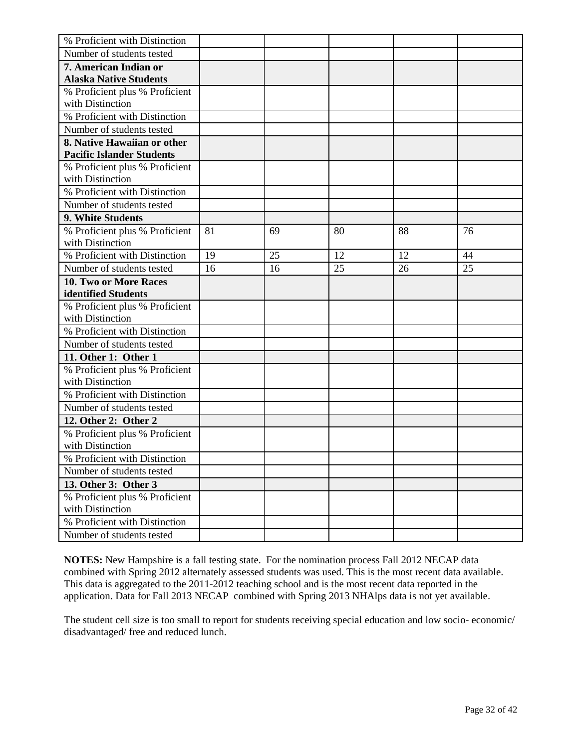| % Proficient with Distinction                                   |    |    |    |    |    |
|-----------------------------------------------------------------|----|----|----|----|----|
| Number of students tested                                       |    |    |    |    |    |
| 7. American Indian or                                           |    |    |    |    |    |
| <b>Alaska Native Students</b>                                   |    |    |    |    |    |
| % Proficient plus % Proficient                                  |    |    |    |    |    |
| with Distinction                                                |    |    |    |    |    |
| % Proficient with Distinction                                   |    |    |    |    |    |
| Number of students tested                                       |    |    |    |    |    |
| 8. Native Hawaiian or other<br><b>Pacific Islander Students</b> |    |    |    |    |    |
| % Proficient plus % Proficient                                  |    |    |    |    |    |
| with Distinction                                                |    |    |    |    |    |
| % Proficient with Distinction                                   |    |    |    |    |    |
| Number of students tested                                       |    |    |    |    |    |
| 9. White Students                                               |    |    |    |    |    |
| % Proficient plus % Proficient                                  | 81 | 69 | 80 | 88 | 76 |
| with Distinction                                                |    |    |    |    |    |
| % Proficient with Distinction                                   | 19 | 25 | 12 | 12 | 44 |
| Number of students tested                                       | 16 | 16 | 25 | 26 | 25 |
| 10. Two or More Races                                           |    |    |    |    |    |
| identified Students                                             |    |    |    |    |    |
| % Proficient plus % Proficient                                  |    |    |    |    |    |
| with Distinction                                                |    |    |    |    |    |
| % Proficient with Distinction                                   |    |    |    |    |    |
| Number of students tested                                       |    |    |    |    |    |
| 11. Other 1: Other 1                                            |    |    |    |    |    |
| % Proficient plus % Proficient                                  |    |    |    |    |    |
| with Distinction                                                |    |    |    |    |    |
| % Proficient with Distinction                                   |    |    |    |    |    |
| Number of students tested                                       |    |    |    |    |    |
| 12. Other 2: Other 2                                            |    |    |    |    |    |
| % Proficient plus % Proficient                                  |    |    |    |    |    |
| with Distinction                                                |    |    |    |    |    |
| % Proficient with Distinction                                   |    |    |    |    |    |
| Number of students tested                                       |    |    |    |    |    |
| 13. Other 3: Other 3                                            |    |    |    |    |    |
| % Proficient plus % Proficient                                  |    |    |    |    |    |
| with Distinction                                                |    |    |    |    |    |
| % Proficient with Distinction                                   |    |    |    |    |    |
| Number of students tested                                       |    |    |    |    |    |

The student cell size is too small to report for students receiving special education and low socio- economic/ disadvantaged/ free and reduced lunch.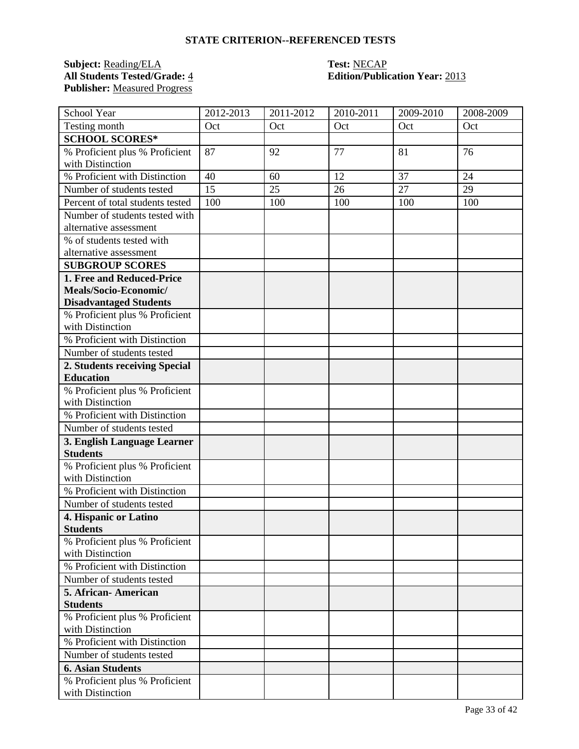### **Subject:** <u>Reading/ELA</u> **Test:** <u>NECAP</u><br> **All Students Tested/Grade:** 4 **Edition/Public Publisher:** Measured Progress

# **All Students Tested/Grade:** 4 **Edition/Publication Year:** 2013

| School Year                                        | 2012-2013 | 2011-2012 | 2010-2011 | 2009-2010 | 2008-2009 |
|----------------------------------------------------|-----------|-----------|-----------|-----------|-----------|
| Testing month                                      | Oct       | Oct       | Oct       | Oct       | Oct       |
| <b>SCHOOL SCORES*</b>                              |           |           |           |           |           |
| % Proficient plus % Proficient                     | 87        | 92        | 77        | 81        | 76        |
| with Distinction                                   |           |           |           |           |           |
| % Proficient with Distinction                      | 40        | 60        | 12        | 37        | 24        |
| Number of students tested                          | 15        | 25        | 26        | 27        | 29        |
| Percent of total students tested                   | 100       | 100       | 100       | 100       | 100       |
| Number of students tested with                     |           |           |           |           |           |
| alternative assessment                             |           |           |           |           |           |
| % of students tested with                          |           |           |           |           |           |
| alternative assessment                             |           |           |           |           |           |
| <b>SUBGROUP SCORES</b>                             |           |           |           |           |           |
| 1. Free and Reduced-Price                          |           |           |           |           |           |
| Meals/Socio-Economic/                              |           |           |           |           |           |
| <b>Disadvantaged Students</b>                      |           |           |           |           |           |
| % Proficient plus % Proficient<br>with Distinction |           |           |           |           |           |
| % Proficient with Distinction                      |           |           |           |           |           |
| Number of students tested                          |           |           |           |           |           |
| 2. Students receiving Special                      |           |           |           |           |           |
| <b>Education</b>                                   |           |           |           |           |           |
| % Proficient plus % Proficient                     |           |           |           |           |           |
| with Distinction                                   |           |           |           |           |           |
| % Proficient with Distinction                      |           |           |           |           |           |
| Number of students tested                          |           |           |           |           |           |
| 3. English Language Learner                        |           |           |           |           |           |
| <b>Students</b>                                    |           |           |           |           |           |
| % Proficient plus % Proficient                     |           |           |           |           |           |
| with Distinction                                   |           |           |           |           |           |
| % Proficient with Distinction                      |           |           |           |           |           |
| Number of students tested                          |           |           |           |           |           |
| 4. Hispanic or Latino                              |           |           |           |           |           |
| <b>Students</b>                                    |           |           |           |           |           |
| % Proficient plus % Proficient                     |           |           |           |           |           |
| with Distinction<br>% Proficient with Distinction  |           |           |           |           |           |
|                                                    |           |           |           |           |           |
| Number of students tested                          |           |           |           |           |           |
| 5. African-American<br><b>Students</b>             |           |           |           |           |           |
| % Proficient plus % Proficient                     |           |           |           |           |           |
| with Distinction                                   |           |           |           |           |           |
| % Proficient with Distinction                      |           |           |           |           |           |
| Number of students tested                          |           |           |           |           |           |
| <b>6. Asian Students</b>                           |           |           |           |           |           |
| % Proficient plus % Proficient                     |           |           |           |           |           |
| with Distinction                                   |           |           |           |           |           |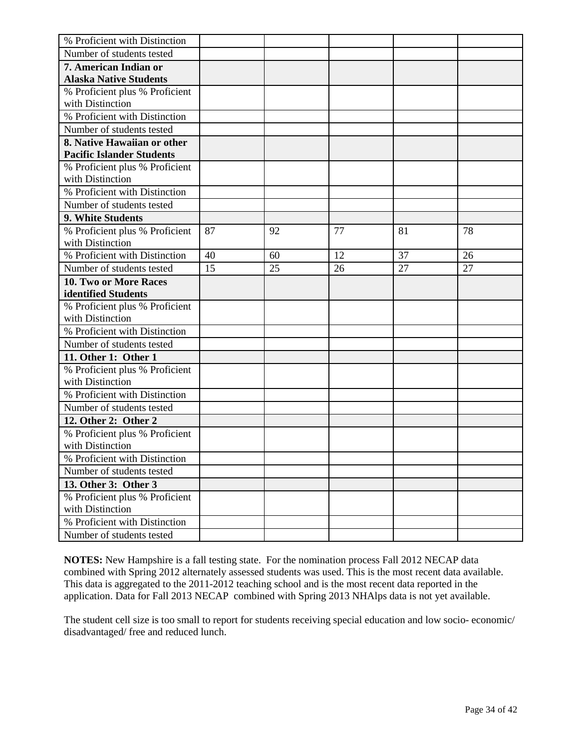| % Proficient with Distinction    |    |    |    |    |    |
|----------------------------------|----|----|----|----|----|
| Number of students tested        |    |    |    |    |    |
| 7. American Indian or            |    |    |    |    |    |
| <b>Alaska Native Students</b>    |    |    |    |    |    |
| % Proficient plus % Proficient   |    |    |    |    |    |
| with Distinction                 |    |    |    |    |    |
| % Proficient with Distinction    |    |    |    |    |    |
| Number of students tested        |    |    |    |    |    |
| 8. Native Hawaiian or other      |    |    |    |    |    |
| <b>Pacific Islander Students</b> |    |    |    |    |    |
| % Proficient plus % Proficient   |    |    |    |    |    |
| with Distinction                 |    |    |    |    |    |
| % Proficient with Distinction    |    |    |    |    |    |
| Number of students tested        |    |    |    |    |    |
| 9. White Students                |    |    |    |    |    |
| % Proficient plus % Proficient   | 87 | 92 | 77 | 81 | 78 |
| with Distinction                 |    |    |    |    |    |
| % Proficient with Distinction    | 40 | 60 | 12 | 37 | 26 |
| Number of students tested        | 15 | 25 | 26 | 27 | 27 |
| <b>10. Two or More Races</b>     |    |    |    |    |    |
| identified Students              |    |    |    |    |    |
| % Proficient plus % Proficient   |    |    |    |    |    |
| with Distinction                 |    |    |    |    |    |
| % Proficient with Distinction    |    |    |    |    |    |
| Number of students tested        |    |    |    |    |    |
| 11. Other 1: Other 1             |    |    |    |    |    |
| % Proficient plus % Proficient   |    |    |    |    |    |
| with Distinction                 |    |    |    |    |    |
| % Proficient with Distinction    |    |    |    |    |    |
| Number of students tested        |    |    |    |    |    |
| 12. Other 2: Other 2             |    |    |    |    |    |
| % Proficient plus % Proficient   |    |    |    |    |    |
| with Distinction                 |    |    |    |    |    |
| % Proficient with Distinction    |    |    |    |    |    |
| Number of students tested        |    |    |    |    |    |
| 13. Other 3: Other 3             |    |    |    |    |    |
| % Proficient plus % Proficient   |    |    |    |    |    |
| with Distinction                 |    |    |    |    |    |
| % Proficient with Distinction    |    |    |    |    |    |
| Number of students tested        |    |    |    |    |    |

The student cell size is too small to report for students receiving special education and low socio- economic/ disadvantaged/ free and reduced lunch.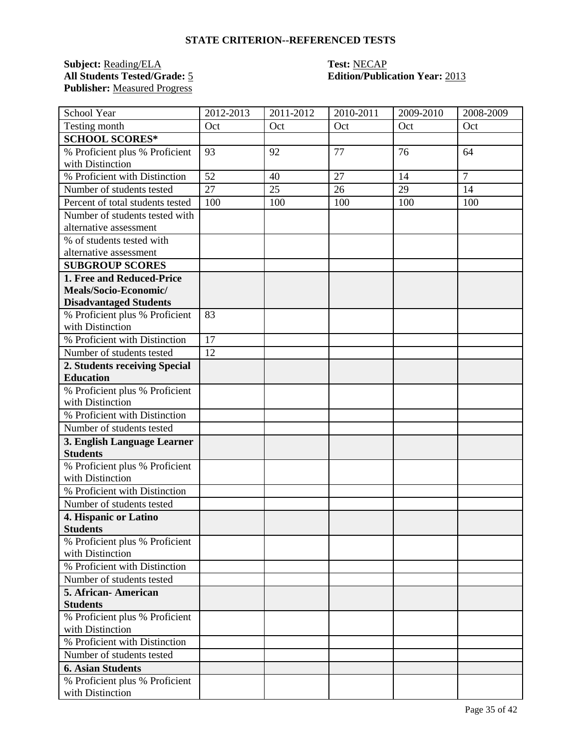### **Subject:** <u>Reading/ELA</u> **Test:** <u>NECAP</u><br> **All Students Tested/Grade:** 5 **Edition/Public Publisher:** Measured Progress

# **Edition/Publication Year: 2013**

| School Year                                        | 2012-2013 | 2011-2012 | 2010-2011 | 2009-2010 | 2008-2009      |
|----------------------------------------------------|-----------|-----------|-----------|-----------|----------------|
| Testing month                                      | Oct       | Oct       | Oct       | Oct       | Oct            |
| <b>SCHOOL SCORES*</b>                              |           |           |           |           |                |
| % Proficient plus % Proficient                     | 93        | 92        | 77        | 76        | 64             |
| with Distinction                                   |           |           |           |           |                |
| % Proficient with Distinction                      | 52        | 40        | 27        | 14        | $\overline{7}$ |
| Number of students tested                          | 27        | 25        | 26        | 29        | 14             |
| Percent of total students tested                   | 100       | 100       | 100       | 100       | 100            |
| Number of students tested with                     |           |           |           |           |                |
| alternative assessment                             |           |           |           |           |                |
| % of students tested with                          |           |           |           |           |                |
| alternative assessment                             |           |           |           |           |                |
| <b>SUBGROUP SCORES</b>                             |           |           |           |           |                |
| 1. Free and Reduced-Price                          |           |           |           |           |                |
| Meals/Socio-Economic/                              |           |           |           |           |                |
| <b>Disadvantaged Students</b>                      |           |           |           |           |                |
| % Proficient plus % Proficient<br>with Distinction | 83        |           |           |           |                |
| % Proficient with Distinction                      | 17        |           |           |           |                |
| Number of students tested                          | 12        |           |           |           |                |
| 2. Students receiving Special                      |           |           |           |           |                |
| <b>Education</b>                                   |           |           |           |           |                |
| % Proficient plus % Proficient                     |           |           |           |           |                |
| with Distinction                                   |           |           |           |           |                |
| % Proficient with Distinction                      |           |           |           |           |                |
| Number of students tested                          |           |           |           |           |                |
| 3. English Language Learner                        |           |           |           |           |                |
| <b>Students</b>                                    |           |           |           |           |                |
| % Proficient plus % Proficient<br>with Distinction |           |           |           |           |                |
| % Proficient with Distinction                      |           |           |           |           |                |
| Number of students tested                          |           |           |           |           |                |
| 4. Hispanic or Latino                              |           |           |           |           |                |
| <b>Students</b>                                    |           |           |           |           |                |
| % Proficient plus % Proficient<br>with Distinction |           |           |           |           |                |
| % Proficient with Distinction                      |           |           |           |           |                |
| Number of students tested                          |           |           |           |           |                |
| 5. African-American                                |           |           |           |           |                |
| <b>Students</b>                                    |           |           |           |           |                |
| % Proficient plus % Proficient                     |           |           |           |           |                |
| with Distinction                                   |           |           |           |           |                |
| % Proficient with Distinction                      |           |           |           |           |                |
| Number of students tested                          |           |           |           |           |                |
| <b>6. Asian Students</b>                           |           |           |           |           |                |
| % Proficient plus % Proficient                     |           |           |           |           |                |
| with Distinction                                   |           |           |           |           |                |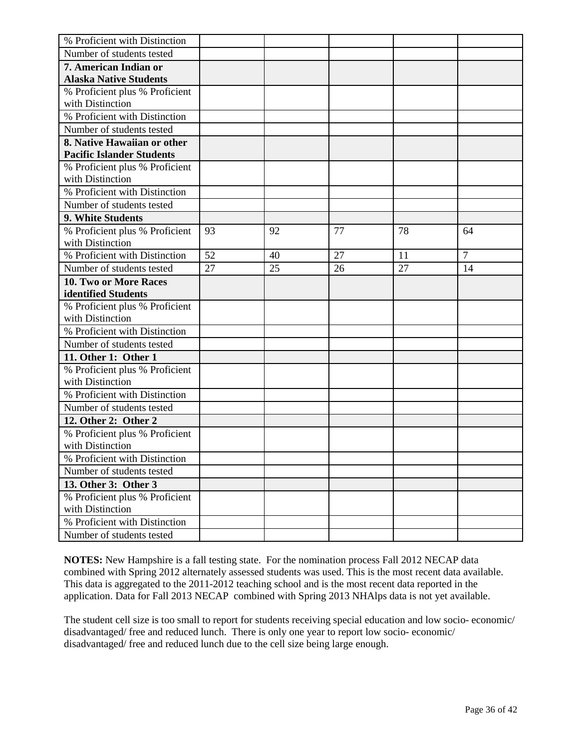| % Proficient with Distinction    |    |    |    |    |                |
|----------------------------------|----|----|----|----|----------------|
| Number of students tested        |    |    |    |    |                |
| 7. American Indian or            |    |    |    |    |                |
| <b>Alaska Native Students</b>    |    |    |    |    |                |
| % Proficient plus % Proficient   |    |    |    |    |                |
| with Distinction                 |    |    |    |    |                |
| % Proficient with Distinction    |    |    |    |    |                |
| Number of students tested        |    |    |    |    |                |
| 8. Native Hawaiian or other      |    |    |    |    |                |
| <b>Pacific Islander Students</b> |    |    |    |    |                |
| % Proficient plus % Proficient   |    |    |    |    |                |
| with Distinction                 |    |    |    |    |                |
| % Proficient with Distinction    |    |    |    |    |                |
| Number of students tested        |    |    |    |    |                |
| 9. White Students                |    |    |    |    |                |
| % Proficient plus % Proficient   | 93 | 92 | 77 | 78 | 64             |
| with Distinction                 |    |    |    |    |                |
| % Proficient with Distinction    | 52 | 40 | 27 | 11 | $\overline{7}$ |
| Number of students tested        | 27 | 25 | 26 | 27 | 14             |
| <b>10. Two or More Races</b>     |    |    |    |    |                |
| identified Students              |    |    |    |    |                |
| % Proficient plus % Proficient   |    |    |    |    |                |
| with Distinction                 |    |    |    |    |                |
| % Proficient with Distinction    |    |    |    |    |                |
| Number of students tested        |    |    |    |    |                |
| 11. Other 1: Other 1             |    |    |    |    |                |
| % Proficient plus % Proficient   |    |    |    |    |                |
| with Distinction                 |    |    |    |    |                |
| % Proficient with Distinction    |    |    |    |    |                |
| Number of students tested        |    |    |    |    |                |
| 12. Other 2: Other 2             |    |    |    |    |                |
| % Proficient plus % Proficient   |    |    |    |    |                |
| with Distinction                 |    |    |    |    |                |
| % Proficient with Distinction    |    |    |    |    |                |
| Number of students tested        |    |    |    |    |                |
| 13. Other 3: Other 3             |    |    |    |    |                |
| % Proficient plus % Proficient   |    |    |    |    |                |
| with Distinction                 |    |    |    |    |                |
| % Proficient with Distinction    |    |    |    |    |                |
| Number of students tested        |    |    |    |    |                |

The student cell size is too small to report for students receiving special education and low socio- economic/ disadvantaged/ free and reduced lunch. There is only one year to report low socio- economic/ disadvantaged/ free and reduced lunch due to the cell size being large enough.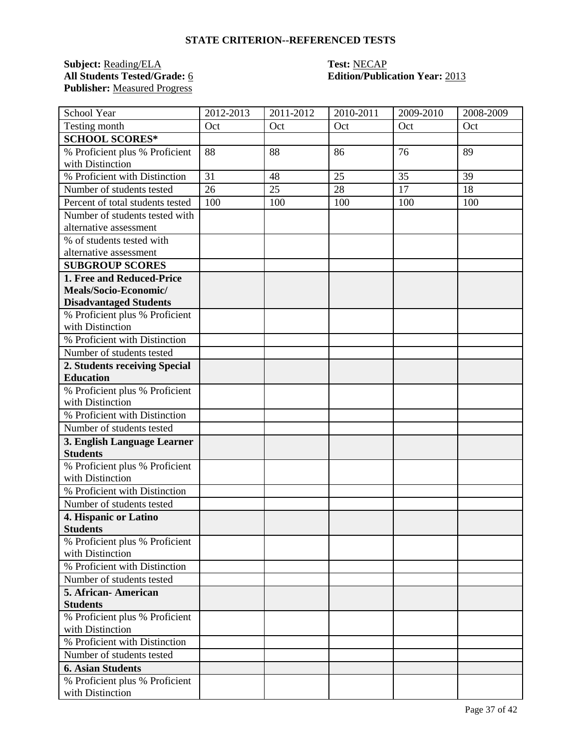### **Subject:** <u>Reading/ELA</u> **Test:** <u>NECAP</u><br> **All Students Tested/Grade:** <u>6</u> **C Edition/Public Publisher:** Measured Progress

## **All Students Tested/Grade:** 6 **Edition/Publication Year:** 2013

| School Year                                        | 2012-2013 | 2011-2012 | 2010-2011 | 2009-2010 | 2008-2009 |
|----------------------------------------------------|-----------|-----------|-----------|-----------|-----------|
| Testing month                                      | Oct       | Oct       | Oct       | Oct       | Oct       |
| <b>SCHOOL SCORES*</b>                              |           |           |           |           |           |
| % Proficient plus % Proficient                     | 88        | 88        | 86        | 76        | 89        |
| with Distinction                                   |           |           |           |           |           |
| % Proficient with Distinction                      | 31        | 48        | 25        | 35        | 39        |
| Number of students tested                          | 26        | 25        | 28        | 17        | 18        |
| Percent of total students tested                   | 100       | 100       | 100       | 100       | 100       |
| Number of students tested with                     |           |           |           |           |           |
| alternative assessment                             |           |           |           |           |           |
| % of students tested with                          |           |           |           |           |           |
| alternative assessment                             |           |           |           |           |           |
| <b>SUBGROUP SCORES</b>                             |           |           |           |           |           |
| 1. Free and Reduced-Price                          |           |           |           |           |           |
| Meals/Socio-Economic/                              |           |           |           |           |           |
| <b>Disadvantaged Students</b>                      |           |           |           |           |           |
| % Proficient plus % Proficient<br>with Distinction |           |           |           |           |           |
| % Proficient with Distinction                      |           |           |           |           |           |
| Number of students tested                          |           |           |           |           |           |
| 2. Students receiving Special                      |           |           |           |           |           |
| <b>Education</b>                                   |           |           |           |           |           |
| % Proficient plus % Proficient                     |           |           |           |           |           |
| with Distinction                                   |           |           |           |           |           |
| % Proficient with Distinction                      |           |           |           |           |           |
| Number of students tested                          |           |           |           |           |           |
| 3. English Language Learner                        |           |           |           |           |           |
| <b>Students</b>                                    |           |           |           |           |           |
| % Proficient plus % Proficient                     |           |           |           |           |           |
| with Distinction                                   |           |           |           |           |           |
| % Proficient with Distinction                      |           |           |           |           |           |
| Number of students tested                          |           |           |           |           |           |
| 4. Hispanic or Latino                              |           |           |           |           |           |
| <b>Students</b>                                    |           |           |           |           |           |
| % Proficient plus % Proficient                     |           |           |           |           |           |
| with Distinction<br>% Proficient with Distinction  |           |           |           |           |           |
|                                                    |           |           |           |           |           |
| Number of students tested                          |           |           |           |           |           |
| 5. African-American<br><b>Students</b>             |           |           |           |           |           |
| % Proficient plus % Proficient                     |           |           |           |           |           |
| with Distinction                                   |           |           |           |           |           |
| % Proficient with Distinction                      |           |           |           |           |           |
| Number of students tested                          |           |           |           |           |           |
| <b>6. Asian Students</b>                           |           |           |           |           |           |
| % Proficient plus % Proficient                     |           |           |           |           |           |
| with Distinction                                   |           |           |           |           |           |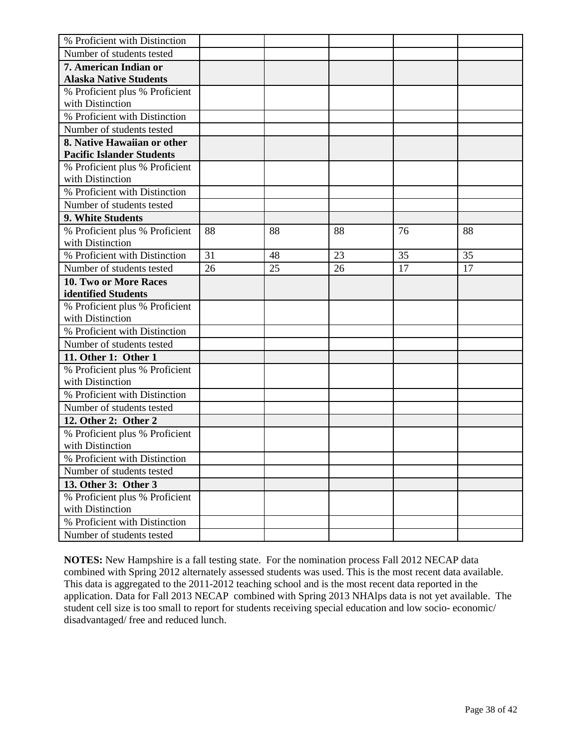| % Proficient with Distinction    |    |    |    |    |    |
|----------------------------------|----|----|----|----|----|
| Number of students tested        |    |    |    |    |    |
| 7. American Indian or            |    |    |    |    |    |
| <b>Alaska Native Students</b>    |    |    |    |    |    |
| % Proficient plus % Proficient   |    |    |    |    |    |
| with Distinction                 |    |    |    |    |    |
| % Proficient with Distinction    |    |    |    |    |    |
| Number of students tested        |    |    |    |    |    |
| 8. Native Hawaiian or other      |    |    |    |    |    |
| <b>Pacific Islander Students</b> |    |    |    |    |    |
| % Proficient plus % Proficient   |    |    |    |    |    |
| with Distinction                 |    |    |    |    |    |
| % Proficient with Distinction    |    |    |    |    |    |
| Number of students tested        |    |    |    |    |    |
| 9. White Students                |    |    |    |    |    |
| % Proficient plus % Proficient   | 88 | 88 | 88 | 76 | 88 |
| with Distinction                 |    |    |    |    |    |
| % Proficient with Distinction    | 31 | 48 | 23 | 35 | 35 |
| Number of students tested        | 26 | 25 | 26 | 17 | 17 |
| <b>10. Two or More Races</b>     |    |    |    |    |    |
| identified Students              |    |    |    |    |    |
| % Proficient plus % Proficient   |    |    |    |    |    |
| with Distinction                 |    |    |    |    |    |
| % Proficient with Distinction    |    |    |    |    |    |
| Number of students tested        |    |    |    |    |    |
| 11. Other 1: Other 1             |    |    |    |    |    |
| % Proficient plus % Proficient   |    |    |    |    |    |
| with Distinction                 |    |    |    |    |    |
| % Proficient with Distinction    |    |    |    |    |    |
| Number of students tested        |    |    |    |    |    |
| 12. Other 2: Other 2             |    |    |    |    |    |
| % Proficient plus % Proficient   |    |    |    |    |    |
| with Distinction                 |    |    |    |    |    |
| % Proficient with Distinction    |    |    |    |    |    |
| Number of students tested        |    |    |    |    |    |
| 13. Other 3: Other 3             |    |    |    |    |    |
| % Proficient plus % Proficient   |    |    |    |    |    |
| with Distinction                 |    |    |    |    |    |
| % Proficient with Distinction    |    |    |    |    |    |
| Number of students tested        |    |    |    |    |    |

**NOTES:** New Hampshire is a fall testing state. For the nomination process Fall 2012 NECAP data combined with Spring 2012 alternately assessed students was used. This is the most recent data available. This data is aggregated to the 2011-2012 teaching school and is the most recent data reported in the application. Data for Fall 2013 NECAP combined with Spring 2013 NHAlps data is not yet available. The student cell size is too small to report for students receiving special education and low socio- economic/ disadvantaged/ free and reduced lunch.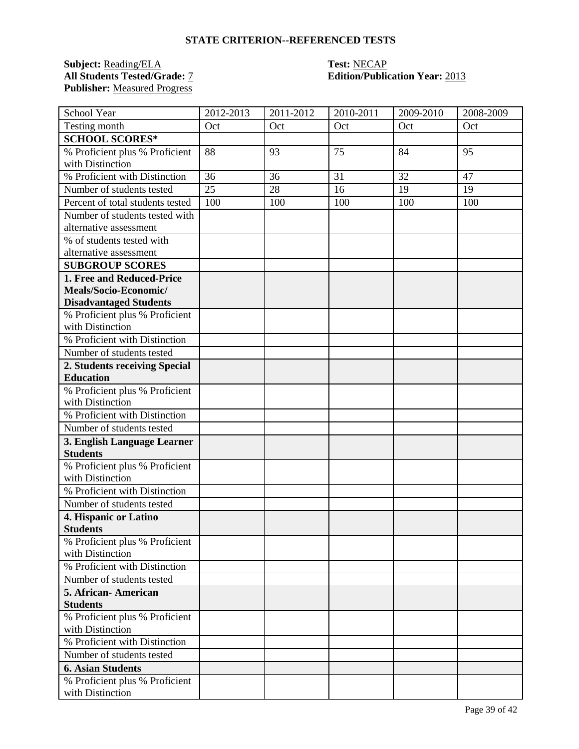### **Subject:** <u>Reading/ELA</u> **Test:** <u>NECAP</u><br> **All Students Tested/Grade:** <u>7</u> **Call Edition/Public Publisher:** Measured Progress

# **Edition/Publication Year: 2013**

| School Year                                        | 2012-2013 | 2011-2012 | 2010-2011 | 2009-2010 | 2008-2009 |
|----------------------------------------------------|-----------|-----------|-----------|-----------|-----------|
| Testing month                                      | Oct       | Oct       | Oct       | Oct       | Oct       |
| <b>SCHOOL SCORES*</b>                              |           |           |           |           |           |
| % Proficient plus % Proficient                     | 88        | 93        | 75        | 84        | 95        |
| with Distinction                                   |           |           |           |           |           |
| % Proficient with Distinction                      | 36        | 36        | 31        | 32        | 47        |
| Number of students tested                          | 25        | 28        | 16        | 19        | 19        |
| Percent of total students tested                   | 100       | 100       | 100       | 100       | 100       |
| Number of students tested with                     |           |           |           |           |           |
| alternative assessment                             |           |           |           |           |           |
| % of students tested with                          |           |           |           |           |           |
| alternative assessment                             |           |           |           |           |           |
| <b>SUBGROUP SCORES</b>                             |           |           |           |           |           |
| 1. Free and Reduced-Price                          |           |           |           |           |           |
| Meals/Socio-Economic/                              |           |           |           |           |           |
| <b>Disadvantaged Students</b>                      |           |           |           |           |           |
| % Proficient plus % Proficient<br>with Distinction |           |           |           |           |           |
| % Proficient with Distinction                      |           |           |           |           |           |
| Number of students tested                          |           |           |           |           |           |
| 2. Students receiving Special                      |           |           |           |           |           |
| <b>Education</b>                                   |           |           |           |           |           |
| % Proficient plus % Proficient                     |           |           |           |           |           |
| with Distinction                                   |           |           |           |           |           |
| % Proficient with Distinction                      |           |           |           |           |           |
| Number of students tested                          |           |           |           |           |           |
| 3. English Language Learner                        |           |           |           |           |           |
| <b>Students</b>                                    |           |           |           |           |           |
| % Proficient plus % Proficient                     |           |           |           |           |           |
| with Distinction                                   |           |           |           |           |           |
| % Proficient with Distinction                      |           |           |           |           |           |
| Number of students tested                          |           |           |           |           |           |
| 4. Hispanic or Latino                              |           |           |           |           |           |
| <b>Students</b>                                    |           |           |           |           |           |
| % Proficient plus % Proficient                     |           |           |           |           |           |
| with Distinction<br>% Proficient with Distinction  |           |           |           |           |           |
|                                                    |           |           |           |           |           |
| Number of students tested                          |           |           |           |           |           |
| 5. African-American<br><b>Students</b>             |           |           |           |           |           |
| % Proficient plus % Proficient                     |           |           |           |           |           |
| with Distinction                                   |           |           |           |           |           |
| % Proficient with Distinction                      |           |           |           |           |           |
| Number of students tested                          |           |           |           |           |           |
| <b>6. Asian Students</b>                           |           |           |           |           |           |
| % Proficient plus % Proficient                     |           |           |           |           |           |
| with Distinction                                   |           |           |           |           |           |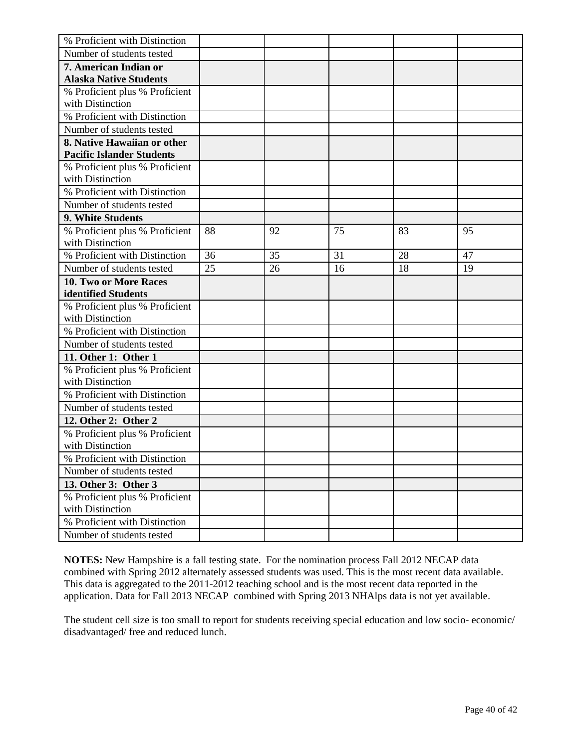| % Proficient with Distinction    |    |    |    |    |    |
|----------------------------------|----|----|----|----|----|
| Number of students tested        |    |    |    |    |    |
| 7. American Indian or            |    |    |    |    |    |
| <b>Alaska Native Students</b>    |    |    |    |    |    |
| % Proficient plus % Proficient   |    |    |    |    |    |
| with Distinction                 |    |    |    |    |    |
| % Proficient with Distinction    |    |    |    |    |    |
| Number of students tested        |    |    |    |    |    |
| 8. Native Hawaiian or other      |    |    |    |    |    |
| <b>Pacific Islander Students</b> |    |    |    |    |    |
| % Proficient plus % Proficient   |    |    |    |    |    |
| with Distinction                 |    |    |    |    |    |
| % Proficient with Distinction    |    |    |    |    |    |
| Number of students tested        |    |    |    |    |    |
| 9. White Students                |    |    |    |    |    |
| % Proficient plus % Proficient   | 88 | 92 | 75 | 83 | 95 |
| with Distinction                 |    |    |    |    |    |
| % Proficient with Distinction    | 36 | 35 | 31 | 28 | 47 |
| Number of students tested        | 25 | 26 | 16 | 18 | 19 |
| <b>10. Two or More Races</b>     |    |    |    |    |    |
| identified Students              |    |    |    |    |    |
| % Proficient plus % Proficient   |    |    |    |    |    |
| with Distinction                 |    |    |    |    |    |
| % Proficient with Distinction    |    |    |    |    |    |
| Number of students tested        |    |    |    |    |    |
| 11. Other 1: Other 1             |    |    |    |    |    |
| % Proficient plus % Proficient   |    |    |    |    |    |
| with Distinction                 |    |    |    |    |    |
| % Proficient with Distinction    |    |    |    |    |    |
| Number of students tested        |    |    |    |    |    |
| 12. Other 2: Other 2             |    |    |    |    |    |
| % Proficient plus % Proficient   |    |    |    |    |    |
| with Distinction                 |    |    |    |    |    |
| % Proficient with Distinction    |    |    |    |    |    |
| Number of students tested        |    |    |    |    |    |
| 13. Other 3: Other 3             |    |    |    |    |    |
| % Proficient plus % Proficient   |    |    |    |    |    |
| with Distinction                 |    |    |    |    |    |
| % Proficient with Distinction    |    |    |    |    |    |
| Number of students tested        |    |    |    |    |    |

The student cell size is too small to report for students receiving special education and low socio- economic/ disadvantaged/ free and reduced lunch.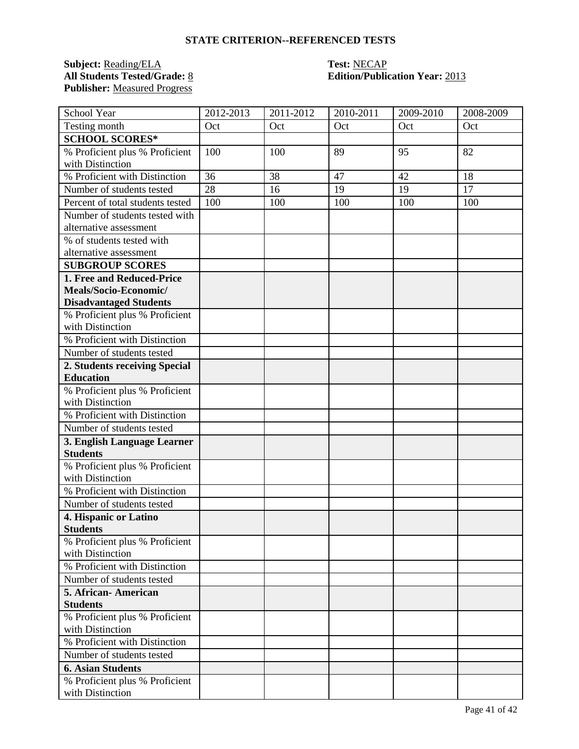### **Subject:** <u>Reading/ELA</u> **Test:** <u>NECAP</u><br> **All Students Tested/Grade:** <u>8</u> **Call Edition/Public Publisher:** Measured Progress

## **Edition/Publication Year: 2013**

| School Year                                        | 2012-2013 | 2011-2012 | 2010-2011 | 2009-2010 | 2008-2009 |
|----------------------------------------------------|-----------|-----------|-----------|-----------|-----------|
| Testing month                                      | Oct       | Oct       | Oct       | Oct       | Oct       |
| <b>SCHOOL SCORES*</b>                              |           |           |           |           |           |
| % Proficient plus % Proficient                     | 100       | 100       | 89        | 95        | 82        |
| with Distinction                                   |           |           |           |           |           |
| % Proficient with Distinction                      | 36        | 38        | 47        | 42        | 18        |
| Number of students tested                          | 28        | 16        | 19        | 19        | 17        |
| Percent of total students tested                   | 100       | 100       | 100       | 100       | 100       |
| Number of students tested with                     |           |           |           |           |           |
| alternative assessment                             |           |           |           |           |           |
| % of students tested with                          |           |           |           |           |           |
| alternative assessment                             |           |           |           |           |           |
| <b>SUBGROUP SCORES</b>                             |           |           |           |           |           |
| 1. Free and Reduced-Price                          |           |           |           |           |           |
| Meals/Socio-Economic/                              |           |           |           |           |           |
| <b>Disadvantaged Students</b>                      |           |           |           |           |           |
| % Proficient plus % Proficient<br>with Distinction |           |           |           |           |           |
| % Proficient with Distinction                      |           |           |           |           |           |
| Number of students tested                          |           |           |           |           |           |
| 2. Students receiving Special                      |           |           |           |           |           |
| <b>Education</b>                                   |           |           |           |           |           |
| % Proficient plus % Proficient                     |           |           |           |           |           |
| with Distinction                                   |           |           |           |           |           |
| % Proficient with Distinction                      |           |           |           |           |           |
| Number of students tested                          |           |           |           |           |           |
| 3. English Language Learner                        |           |           |           |           |           |
| <b>Students</b>                                    |           |           |           |           |           |
| % Proficient plus % Proficient<br>with Distinction |           |           |           |           |           |
| % Proficient with Distinction                      |           |           |           |           |           |
| Number of students tested                          |           |           |           |           |           |
| 4. Hispanic or Latino                              |           |           |           |           |           |
| <b>Students</b>                                    |           |           |           |           |           |
| % Proficient plus % Proficient                     |           |           |           |           |           |
| with Distinction                                   |           |           |           |           |           |
| % Proficient with Distinction                      |           |           |           |           |           |
| Number of students tested                          |           |           |           |           |           |
| 5. African-American                                |           |           |           |           |           |
| <b>Students</b>                                    |           |           |           |           |           |
| % Proficient plus % Proficient                     |           |           |           |           |           |
| with Distinction                                   |           |           |           |           |           |
| % Proficient with Distinction                      |           |           |           |           |           |
| Number of students tested                          |           |           |           |           |           |
| <b>6. Asian Students</b>                           |           |           |           |           |           |
| % Proficient plus % Proficient<br>with Distinction |           |           |           |           |           |
|                                                    |           |           |           |           |           |